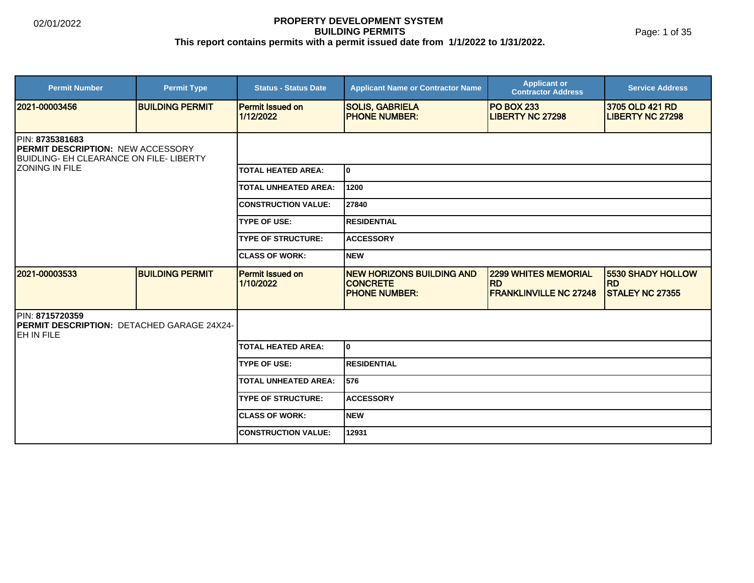#### **PROPERTY DEVELOPMENT SYSTEM BUILDING PERMITS This report contains permits with a permit issued date from 1/1/2022 to 1/31/2022.**

| <b>Permit Number</b>                                                                                          | <b>Permit Type</b>     | <b>Status - Status Date</b>          | <b>Applicant Name or Contractor Name</b>                                    | <b>Applicant or</b><br><b>Contractor Address</b>                          | <b>Service Address</b>                                   |  |
|---------------------------------------------------------------------------------------------------------------|------------------------|--------------------------------------|-----------------------------------------------------------------------------|---------------------------------------------------------------------------|----------------------------------------------------------|--|
| 12021-00003456                                                                                                | <b>BUILDING PERMIT</b> | <b>Permit Issued on</b><br>1/12/2022 | <b>SOLIS, GABRIELA</b><br><b>PHONE NUMBER:</b>                              | <b>PO BOX 233</b><br><b>LIBERTY NC 27298</b>                              | 3705 OLD 421 RD<br><b>LIBERTY NC 27298</b>               |  |
| PIN: 8735381683<br><b>PERMIT DESCRIPTION: NEW ACCESSORY</b><br><b>BUIDLING- EH CLEARANCE ON FILE- LIBERTY</b> |                        |                                      |                                                                             |                                                                           |                                                          |  |
| <b>ZONING IN FILE</b>                                                                                         |                        | TOTAL HEATED AREA:                   | I٥                                                                          |                                                                           |                                                          |  |
|                                                                                                               |                        | <b>TOTAL UNHEATED AREA:</b>          | 1200                                                                        |                                                                           |                                                          |  |
|                                                                                                               |                        | <b>CONSTRUCTION VALUE:</b>           | 27840                                                                       |                                                                           |                                                          |  |
|                                                                                                               |                        | <b>TYPE OF USE:</b>                  | <b>RESIDENTIAL</b>                                                          |                                                                           |                                                          |  |
|                                                                                                               |                        | <b>TYPE OF STRUCTURE:</b>            | <b>ACCESSORY</b>                                                            |                                                                           |                                                          |  |
|                                                                                                               |                        | <b>CLASS OF WORK:</b>                | <b>NEW</b>                                                                  |                                                                           |                                                          |  |
| 2021-00003533                                                                                                 | <b>BUILDING PERMIT</b> | <b>Permit Issued on</b><br>1/10/2022 | <b>NEW HORIZONS BUILDING AND</b><br><b>CONCRETE</b><br><b>PHONE NUMBER:</b> | <b>2299 WHITES MEMORIAL</b><br><b>RD</b><br><b>FRANKLINVILLE NC 27248</b> | 5530 SHADY HOLLOW<br><b>RD</b><br><b>STALEY NC 27355</b> |  |
| PIN: 8715720359<br><b>PERMIT DESCRIPTION: DETACHED GARAGE 24X24-</b><br>IEH IN FILE                           |                        |                                      |                                                                             |                                                                           |                                                          |  |
|                                                                                                               |                        | <b>TOTAL HEATED AREA:</b>            | lo.                                                                         |                                                                           |                                                          |  |
|                                                                                                               |                        | <b>TYPE OF USE:</b>                  | RESIDENTIAL                                                                 |                                                                           |                                                          |  |
|                                                                                                               |                        | TOTAL UNHEATED AREA:                 | 576                                                                         |                                                                           |                                                          |  |
|                                                                                                               |                        | <b>TYPE OF STRUCTURE:</b>            | <b>ACCESSORY</b>                                                            |                                                                           |                                                          |  |
|                                                                                                               |                        | <b>ICLASS OF WORK:</b>               | Inew                                                                        |                                                                           |                                                          |  |
|                                                                                                               |                        | <b>CONSTRUCTION VALUE:</b>           | 12931                                                                       |                                                                           |                                                          |  |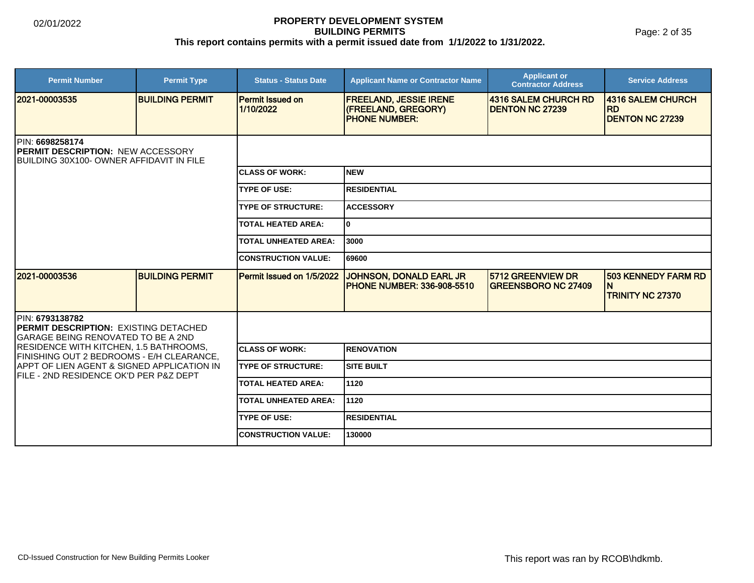Page: 2 of 35

| <b>Permit Number</b>                                                                                             | <b>Permit Type</b>     | <b>Status - Status Date</b>          | <b>Applicant Name or Contractor Name</b>                                      | <b>Applicant or</b><br><b>Contractor Address</b> | <b>Service Address</b>                                     |  |
|------------------------------------------------------------------------------------------------------------------|------------------------|--------------------------------------|-------------------------------------------------------------------------------|--------------------------------------------------|------------------------------------------------------------|--|
| 2021-00003535                                                                                                    | <b>BUILDING PERMIT</b> | <b>Permit Issued on</b><br>1/10/2022 | <b>FREELAND, JESSIE IRENE</b><br>(FREELAND, GREGORY)<br><b>IPHONE NUMBER:</b> | 4316 SALEM CHURCH RD<br><b>DENTON NC 27239</b>   | 4316 SALEM CHURCH<br><b>RD</b><br><b>DENTON NC 27239</b>   |  |
| <b>IPIN: 6698258174</b><br><b>IPERMIT DESCRIPTION: NEW ACCESSORY</b><br>BUILDING 30X100- OWNER AFFIDAVIT IN FILE |                        |                                      |                                                                               |                                                  |                                                            |  |
|                                                                                                                  |                        | <b>ICLASS OF WORK:</b>               | Inew                                                                          |                                                  |                                                            |  |
|                                                                                                                  |                        | <b>TYPE OF USE:</b>                  | <b>RESIDENTIAL</b>                                                            |                                                  |                                                            |  |
|                                                                                                                  |                        | <b>TYPE OF STRUCTURE:</b>            | <b>ACCESSORY</b>                                                              |                                                  |                                                            |  |
|                                                                                                                  |                        | <b>TOTAL HEATED AREA:</b>            | I٥                                                                            |                                                  |                                                            |  |
|                                                                                                                  |                        | <b>TOTAL UNHEATED AREA:</b>          | 3000                                                                          |                                                  |                                                            |  |
|                                                                                                                  |                        | <b>CONSTRUCTION VALUE:</b>           | 169600                                                                        |                                                  |                                                            |  |
| 2021-00003536                                                                                                    | <b>BUILDING PERMIT</b> | Permit Issued on 1/5/2022            | JOHNSON, DONALD EARL JR<br><b>IPHONE NUMBER: 336-908-5510</b>                 | 5712 GREENVIEW DR<br><b>GREENSBORO NC 27409</b>  | <b>503 KENNEDY FARM RD</b><br>N<br><b>TRINITY NC 27370</b> |  |
| PIN: 6793138782<br><b>PERMIT DESCRIPTION: EXISTING DETACHED</b><br><b>GARAGE BEING RENOVATED TO BE A 2ND</b>     |                        |                                      |                                                                               |                                                  |                                                            |  |
| <b>RESIDENCE WITH KITCHEN, 1.5 BATHROOMS,</b><br>FINISHING OUT 2 BEDROOMS - E/H CLEARANCE,                       |                        | <b>ICLASS OF WORK:</b>               | <b>RENOVATION</b>                                                             |                                                  |                                                            |  |
| <b>IAPPT OF LIEN AGENT &amp; SIGNED APPLICATION IN</b><br>FILE - 2ND RESIDENCE OK'D PER P&Z DEPT                 |                        | <b>TYPE OF STRUCTURE:</b>            | <b>SITE BUILT</b>                                                             |                                                  |                                                            |  |
|                                                                                                                  |                        | <b>TOTAL HEATED AREA:</b>            | 11120                                                                         |                                                  |                                                            |  |
|                                                                                                                  |                        | <b>TOTAL UNHEATED AREA:</b>          | 11120                                                                         |                                                  |                                                            |  |
|                                                                                                                  |                        | <b>TYPE OF USE:</b>                  | <b>RESIDENTIAL</b>                                                            |                                                  |                                                            |  |
|                                                                                                                  |                        | <b>CONSTRUCTION VALUE:</b>           | 130000                                                                        |                                                  |                                                            |  |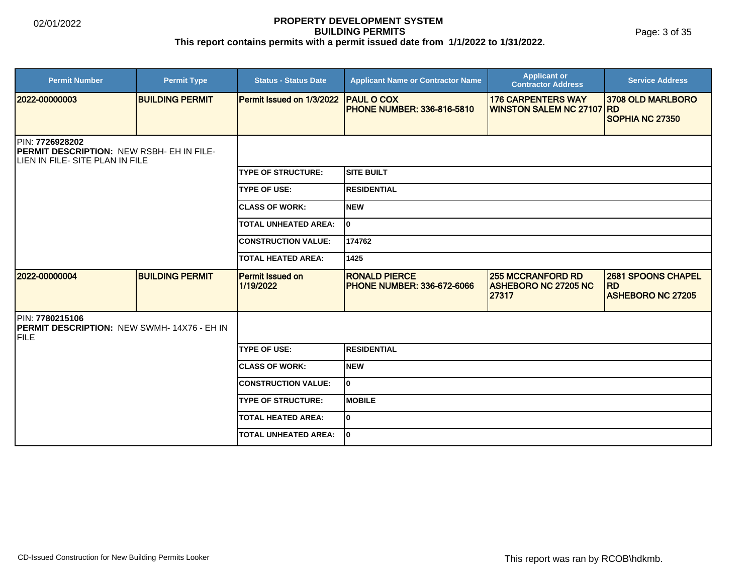Page: 3 of 35

| <b>Permit Number</b>                                                                                           | <b>Permit Type</b>     | <b>Status - Status Date</b>          | <b>Applicant Name or Contractor Name</b>                  | <b>Applicant or</b><br><b>Contractor Address</b>                 | <b>Service Address</b>                                             |  |
|----------------------------------------------------------------------------------------------------------------|------------------------|--------------------------------------|-----------------------------------------------------------|------------------------------------------------------------------|--------------------------------------------------------------------|--|
| 2022-00000003                                                                                                  | <b>BUILDING PERMIT</b> | Permit Issued on 1/3/2022            | <b>PAUL O COX</b><br><b>PHONE NUMBER: 336-816-5810</b>    | <b>176 CARPENTERS WAY</b><br><b>WINSTON SALEM NC 27107 RD</b>    | 3708 OLD MARLBORO                                                  |  |
|                                                                                                                |                        |                                      |                                                           |                                                                  | SOPHIA NC 27350                                                    |  |
| PIN: 7726928202<br><b>PERMIT DESCRIPTION: NEW RSBH- EH IN FILE-</b><br><b>ILIEN IN FILE- SITE PLAN IN FILE</b> |                        |                                      |                                                           |                                                                  |                                                                    |  |
|                                                                                                                |                        | <b>TYPE OF STRUCTURE:</b>            | <b>SITE BUILT</b>                                         |                                                                  |                                                                    |  |
|                                                                                                                |                        | <b>TYPE OF USE:</b>                  | <b>RESIDENTIAL</b>                                        |                                                                  |                                                                    |  |
|                                                                                                                |                        | <b>CLASS OF WORK:</b>                | <b>NEW</b>                                                |                                                                  |                                                                    |  |
|                                                                                                                |                        | <b>TOTAL UNHEATED AREA:</b>          | I٥                                                        |                                                                  |                                                                    |  |
|                                                                                                                |                        | <b>CONSTRUCTION VALUE:</b>           | 174762                                                    |                                                                  |                                                                    |  |
|                                                                                                                |                        | <b>TOTAL HEATED AREA:</b>            | 1425                                                      |                                                                  |                                                                    |  |
| 2022-00000004                                                                                                  | <b>BUILDING PERMIT</b> | <b>Permit Issued on</b><br>1/19/2022 | <b>RONALD PIERCE</b><br><b>PHONE NUMBER: 336-672-6066</b> | <b>255 MCCRANFORD RD</b><br><b>ASHEBORO NC 27205 NC</b><br>27317 | <b>2681 SPOONS CHAPEL</b><br><b>RD</b><br><b>ASHEBORO NC 27205</b> |  |
| PIN: 7780215106<br><b>IPERMIT DESCRIPTION: NEW SWMH-14X76 - EH IN</b><br><b>FILE</b>                           |                        |                                      |                                                           |                                                                  |                                                                    |  |
|                                                                                                                |                        | <b>TYPE OF USE:</b>                  | <b>RESIDENTIAL</b>                                        |                                                                  |                                                                    |  |
|                                                                                                                |                        | <b>CLASS OF WORK:</b>                | <b>NEW</b>                                                |                                                                  |                                                                    |  |
|                                                                                                                |                        | <b>CONSTRUCTION VALUE:</b>           | I٥                                                        |                                                                  |                                                                    |  |
|                                                                                                                |                        | <b>TYPE OF STRUCTURE:</b>            | <b>MOBILE</b>                                             |                                                                  |                                                                    |  |
|                                                                                                                |                        | <b>TOTAL HEATED AREA:</b>            | I٥                                                        |                                                                  |                                                                    |  |
|                                                                                                                |                        | <b>TOTAL UNHEATED AREA:</b>          | I٥                                                        |                                                                  |                                                                    |  |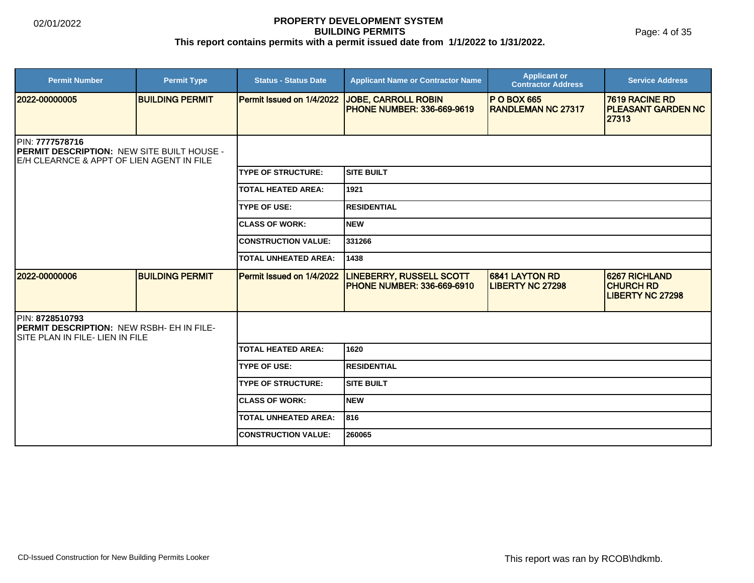Page: 4 of 35

| <b>Permit Number</b>                                                                                              | <b>Permit Type</b>     | <b>Status - Status Date</b> | <b>Applicant Name or Contractor Name</b>                        | <b>Applicant or</b><br><b>Contractor Address</b> | <b>Service Address</b>                                       |
|-------------------------------------------------------------------------------------------------------------------|------------------------|-----------------------------|-----------------------------------------------------------------|--------------------------------------------------|--------------------------------------------------------------|
| 2022-00000005                                                                                                     | <b>BUILDING PERMIT</b> | Permit Issued on 1/4/2022   | <b>JOBE, CARROLL ROBIN</b><br><b>PHONE NUMBER: 336-669-9619</b> | <b>P O BOX 665</b><br><b>RANDLEMAN NC 27317</b>  | 7619 RACINE RD<br><b>PLEASANT GARDEN NC</b><br>27313         |
| PIN: 7777578716<br><b>PERMIT DESCRIPTION: NEW SITE BUILT HOUSE -</b><br>E/H CLEARNCE & APPT OF LIEN AGENT IN FILE |                        |                             |                                                                 |                                                  |                                                              |
|                                                                                                                   |                        | <b>TYPE OF STRUCTURE:</b>   | SITE BUILT                                                      |                                                  |                                                              |
|                                                                                                                   |                        | <b>TOTAL HEATED AREA:</b>   | 1921                                                            |                                                  |                                                              |
|                                                                                                                   |                        | <b>TYPE OF USE:</b>         | <b>RESIDENTIAL</b>                                              |                                                  |                                                              |
|                                                                                                                   |                        | <b>CLASS OF WORK:</b>       | Inew                                                            |                                                  |                                                              |
|                                                                                                                   |                        | <b>CONSTRUCTION VALUE:</b>  | 331266                                                          |                                                  |                                                              |
|                                                                                                                   |                        | <b>TOTAL UNHEATED AREA:</b> | 1438                                                            |                                                  |                                                              |
| 2022-00000006                                                                                                     | <b>BUILDING PERMIT</b> | Permit Issued on 1/4/2022   | <b>LINEBERRY, RUSSELL SCOTT</b><br>PHONE NUMBER: 336-669-6910   | 6841 LAYTON RD<br><b>LIBERTY NC 27298</b>        | 6267 RICHLAND<br><b>CHURCH RD</b><br><b>LIBERTY NC 27298</b> |
| PIN: 8728510793<br><b>PERMIT DESCRIPTION: NEW RSBH- EH IN FILE-</b><br><b>SITE PLAN IN FILE- LIEN IN FILE</b>     |                        |                             |                                                                 |                                                  |                                                              |
|                                                                                                                   |                        | <b>TOTAL HEATED AREA:</b>   | 1620                                                            |                                                  |                                                              |
|                                                                                                                   |                        | <b>TYPE OF USE:</b>         | <b>RESIDENTIAL</b>                                              |                                                  |                                                              |
|                                                                                                                   |                        | <b>TYPE OF STRUCTURE:</b>   | <b>SITE BUILT</b>                                               |                                                  |                                                              |
|                                                                                                                   |                        | <b>CLASS OF WORK:</b>       | Inew                                                            |                                                  |                                                              |
|                                                                                                                   |                        | <b>TOTAL UNHEATED AREA:</b> | 816                                                             |                                                  |                                                              |
|                                                                                                                   |                        | <b>CONSTRUCTION VALUE:</b>  | 260065                                                          |                                                  |                                                              |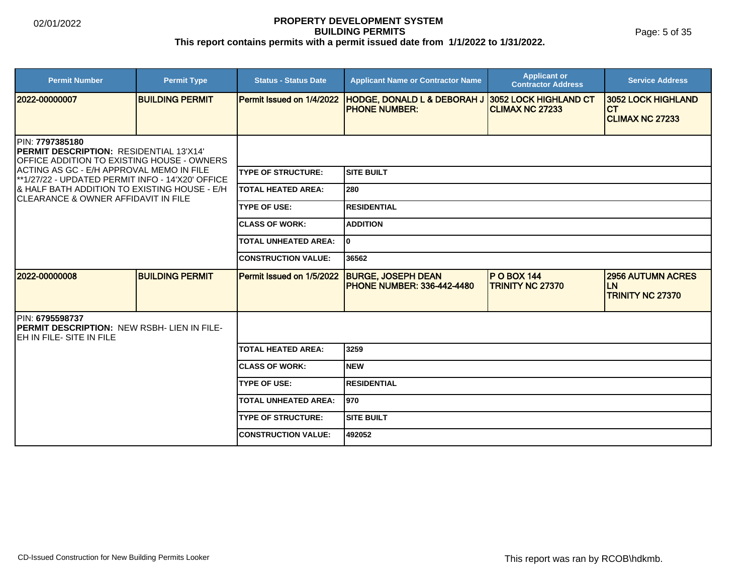Page: 5 of 35

| <b>Permit Number</b>                                                                                                                                                                                                                                                                                    | <b>Permit Type</b>      | <b>Status - Status Date</b> | <b>Applicant Name or Contractor Name</b>                        | <b>Applicant or</b><br><b>Contractor Address</b> | <b>Service Address</b>                                           |  |
|---------------------------------------------------------------------------------------------------------------------------------------------------------------------------------------------------------------------------------------------------------------------------------------------------------|-------------------------|-----------------------------|-----------------------------------------------------------------|--------------------------------------------------|------------------------------------------------------------------|--|
| 12022-00000007                                                                                                                                                                                                                                                                                          | <b>IBUILDING PERMIT</b> | Permit Issued on 1/4/2022   | <b>HODGE, DONALD L &amp; DEBORAH J</b><br><b>IPHONE NUMBER:</b> | 3052 LOCK HIGHLAND CT<br><b>CLIMAX NC 27233</b>  | <b>3052 LOCK HIGHLAND</b><br><b>ICT</b><br>CLIMAX NC 27233       |  |
| PIN: 7797385180<br><b>PERMIT DESCRIPTION: RESIDENTIAL 13'X14'</b><br>OFFICE ADDITION TO EXISTING HOUSE - OWNERS<br>ACTING AS GC - E/H APPROVAL MEMO IN FILE<br>**1/27/22 - UPDATED PERMIT INFO - 14'X20' OFFICE<br>8 HALF BATH ADDITION TO EXISTING HOUSE - E/H<br>ICLEARANCE & OWNER AFFIDAVIT IN FILE |                         |                             |                                                                 |                                                  |                                                                  |  |
|                                                                                                                                                                                                                                                                                                         |                         | <b>TYPE OF STRUCTURE:</b>   | Isite built                                                     |                                                  |                                                                  |  |
|                                                                                                                                                                                                                                                                                                         |                         | ITOTAL HEATED AREA:         | l 280                                                           |                                                  |                                                                  |  |
|                                                                                                                                                                                                                                                                                                         |                         | <b>TYPE OF USE:</b>         | RESIDENTIAL                                                     |                                                  |                                                                  |  |
|                                                                                                                                                                                                                                                                                                         |                         | <b>CLASS OF WORK:</b>       | <b>ADDITION</b>                                                 |                                                  |                                                                  |  |
|                                                                                                                                                                                                                                                                                                         |                         | <b>TOTAL UNHEATED AREA:</b> | lo.                                                             |                                                  |                                                                  |  |
|                                                                                                                                                                                                                                                                                                         |                         | <b>CONSTRUCTION VALUE:</b>  | 36562                                                           |                                                  |                                                                  |  |
| 2022-00000008                                                                                                                                                                                                                                                                                           | <b>BUILDING PERMIT</b>  | Permit Issued on 1/5/2022   | <b>BURGE, JOSEPH DEAN</b><br><b>PHONE NUMBER: 336-442-4480</b>  | <b>PO BOX 144</b><br>TRINITY NC 27370            | <b>2956 AUTUMN ACRES</b><br><b>LN</b><br><b>TRINITY NC 27370</b> |  |
| PIN: 6795598737<br><b>PERMIT DESCRIPTION: NEW RSBH- LIEN IN FILE-</b><br>IEH IN FILE- SITE IN FILE                                                                                                                                                                                                      |                         |                             |                                                                 |                                                  |                                                                  |  |
|                                                                                                                                                                                                                                                                                                         |                         | <b>TOTAL HEATED AREA:</b>   | 3259                                                            |                                                  |                                                                  |  |
|                                                                                                                                                                                                                                                                                                         |                         | <b>CLASS OF WORK:</b>       | Inew                                                            |                                                  |                                                                  |  |
|                                                                                                                                                                                                                                                                                                         |                         | <b>TYPE OF USE:</b>         | RESIDENTIAL                                                     |                                                  |                                                                  |  |
|                                                                                                                                                                                                                                                                                                         |                         | <b>TOTAL UNHEATED AREA:</b> | 1970                                                            |                                                  |                                                                  |  |
|                                                                                                                                                                                                                                                                                                         |                         | <b>TYPE OF STRUCTURE:</b>   | ISITE BUILT                                                     |                                                  |                                                                  |  |
|                                                                                                                                                                                                                                                                                                         |                         | <b>ICONSTRUCTION VALUE:</b> | 492052                                                          |                                                  |                                                                  |  |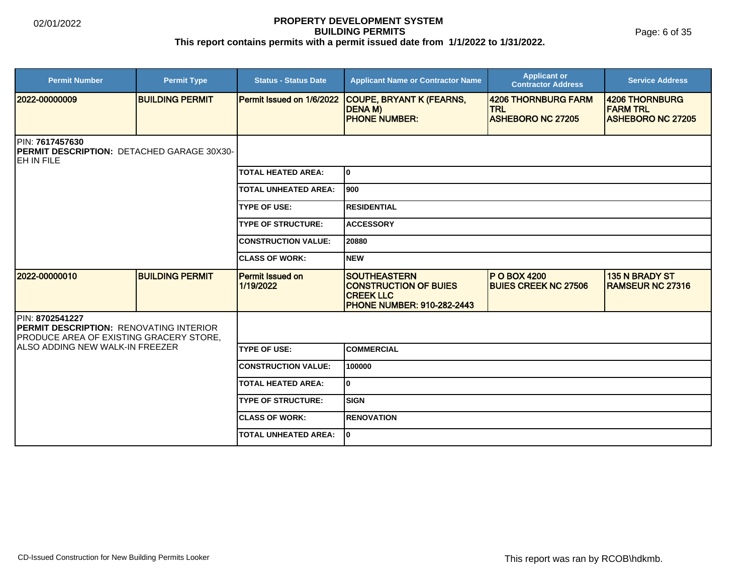Page: 6 of 35

| <b>Permit Number</b>                                                                                                | <b>Permit Type</b>     | <b>Status - Status Date</b>          | <b>Applicant Name or Contractor Name</b>                                                                     | <b>Applicant or</b><br><b>Contractor Address</b>              | <b>Service Address</b>                                        |  |  |
|---------------------------------------------------------------------------------------------------------------------|------------------------|--------------------------------------|--------------------------------------------------------------------------------------------------------------|---------------------------------------------------------------|---------------------------------------------------------------|--|--|
| 2022-00000009                                                                                                       | <b>BUILDING PERMIT</b> | Permit Issued on 1/6/2022            | COUPE, BRYANT K (FEARNS,<br><b>DENAM</b> )<br><b>PHONE NUMBER:</b>                                           | 4206 THORNBURG FARM<br><b>TRL</b><br><b>ASHEBORO NC 27205</b> | 4206 THORNBURG<br><b>FARM TRL</b><br><b>ASHEBORO NC 27205</b> |  |  |
| PIN: 7617457630<br>PERMIT DESCRIPTION: DETACHED GARAGE 30X30-<br><b>JEH IN FILE</b>                                 |                        |                                      |                                                                                                              |                                                               |                                                               |  |  |
|                                                                                                                     |                        | <b>TOTAL HEATED AREA:</b>            | I٥                                                                                                           |                                                               |                                                               |  |  |
|                                                                                                                     |                        | <b>TOTAL UNHEATED AREA:</b>          | 1900                                                                                                         |                                                               |                                                               |  |  |
|                                                                                                                     |                        | <b>TYPE OF USE:</b>                  | IRESIDENTIAL                                                                                                 |                                                               |                                                               |  |  |
|                                                                                                                     |                        | <b>TYPE OF STRUCTURE:</b>            | <b>ACCESSORY</b>                                                                                             |                                                               |                                                               |  |  |
|                                                                                                                     |                        | <b>CONSTRUCTION VALUE:</b>           | 20880                                                                                                        |                                                               |                                                               |  |  |
|                                                                                                                     |                        | <b>CLASS OF WORK:</b>                | Inew                                                                                                         |                                                               |                                                               |  |  |
| 2022-00000010                                                                                                       | <b>BUILDING PERMIT</b> | <b>Permit Issued on</b><br>1/19/2022 | <b>SOUTHEASTERN</b><br><b>CONSTRUCTION OF BUIES</b><br><b>CREEK LLC</b><br><b>PHONE NUMBER: 910-282-2443</b> | <b>P O BOX 4200</b><br><b>BUIES CREEK NC 27506</b>            | 135 N BRADY ST<br>RAMSEUR NC 27316                            |  |  |
| PIN: 8702541227<br><b>PERMIT DESCRIPTION: RENOVATING INTERIOR</b><br><b>PRODUCE AREA OF EXISTING GRACERY STORE,</b> |                        |                                      |                                                                                                              |                                                               |                                                               |  |  |
| IALSO ADDING NEW WALK-IN FREEZER                                                                                    |                        | <b>TYPE OF USE:</b>                  | <b>COMMERCIAL</b>                                                                                            |                                                               |                                                               |  |  |
|                                                                                                                     |                        | <b>CONSTRUCTION VALUE:</b>           | 100000                                                                                                       |                                                               |                                                               |  |  |
|                                                                                                                     |                        | <b>TOTAL HEATED AREA:</b>            | I٥                                                                                                           |                                                               |                                                               |  |  |
|                                                                                                                     |                        | <b>TYPE OF STRUCTURE:</b>            | SIGN                                                                                                         |                                                               |                                                               |  |  |
|                                                                                                                     |                        | <b>CLASS OF WORK:</b>                | IRENOVATION                                                                                                  |                                                               |                                                               |  |  |
|                                                                                                                     |                        | <b>TOTAL UNHEATED AREA:</b>          | I٥                                                                                                           |                                                               |                                                               |  |  |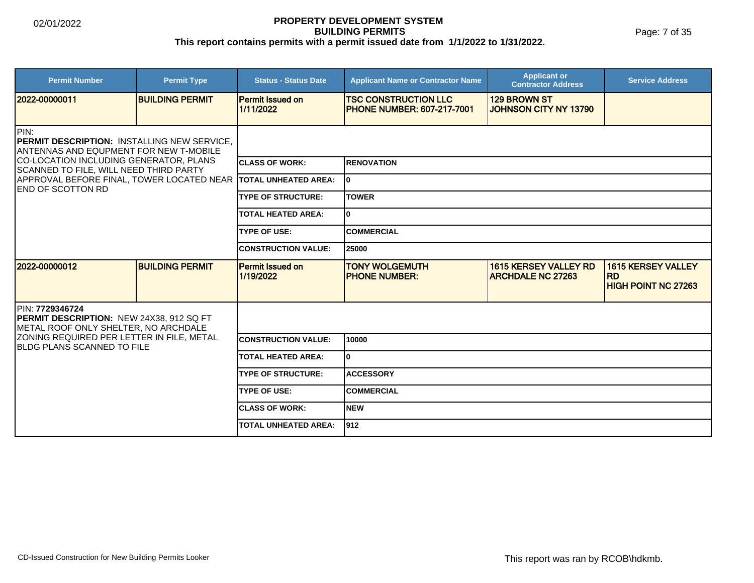Page: 7 of 35

| <b>Permit Number</b>                                                                                         | <b>Permit Type</b>     | <b>Status - Status Date</b>          | <b>Applicant Name or Contractor Name</b>                         | <b>Applicant or</b><br><b>Contractor Address</b>         | <b>Service Address</b>                                               |  |
|--------------------------------------------------------------------------------------------------------------|------------------------|--------------------------------------|------------------------------------------------------------------|----------------------------------------------------------|----------------------------------------------------------------------|--|
| 2022-00000011                                                                                                | <b>BUILDING PERMIT</b> | <b>Permit Issued on</b><br>1/11/2022 | <b>TSC CONSTRUCTION LLC</b><br><b>PHONE NUMBER: 607-217-7001</b> | <b>129 BROWN ST</b><br>JOHNSON CITY NY 13790             |                                                                      |  |
| PIN:<br><b>IPERMIT DESCRIPTION: INSTALLING NEW SERVICE.</b><br><b>ANTENNAS AND EQUPMENT FOR NEW T-MOBILE</b> |                        |                                      |                                                                  |                                                          |                                                                      |  |
| CO-LOCATION INCLUDING GENERATOR, PLANS<br>SCANNED TO FILE, WILL NEED THIRD PARTY                             |                        | <b>ICLASS OF WORK:</b>               | <b>RENOVATION</b>                                                |                                                          |                                                                      |  |
| APPROVAL BEFORE FINAL, TOWER LOCATED NEAR TOTAL UNHEATED AREA:<br><b>END OF SCOTTON RD</b>                   |                        |                                      | lo.                                                              |                                                          |                                                                      |  |
|                                                                                                              |                        | <b>TYPE OF STRUCTURE:</b>            | <b>TOWER</b>                                                     |                                                          |                                                                      |  |
|                                                                                                              |                        | <b>TOTAL HEATED AREA:</b>            | $\mathbf{0}$                                                     |                                                          |                                                                      |  |
|                                                                                                              |                        | <b>TYPE OF USE:</b>                  | <b>COMMERCIAL</b>                                                |                                                          |                                                                      |  |
|                                                                                                              |                        | <b>CONSTRUCTION VALUE:</b>           | 25000                                                            |                                                          |                                                                      |  |
| 2022-00000012                                                                                                | <b>BUILDING PERMIT</b> | <b>Permit Issued on</b><br>1/19/2022 | <b>TONY WOLGEMUTH</b><br><b>PHONE NUMBER:</b>                    | <b>1615 KERSEY VALLEY RD</b><br><b>ARCHDALE NC 27263</b> | <b>1615 KERSEY VALLEY</b><br><b>RD</b><br><b>HIGH POINT NC 27263</b> |  |
| PIN: 7729346724<br>PERMIT DESCRIPTION: NEW 24X38, 912 SQ FT<br>METAL ROOF ONLY SHELTER, NO ARCHDALE          |                        |                                      |                                                                  |                                                          |                                                                      |  |
| ZONING REQUIRED PER LETTER IN FILE, METAL<br><b>IBLDG PLANS SCANNED TO FILE</b>                              |                        | <b>CONSTRUCTION VALUE:</b>           | 10000                                                            |                                                          |                                                                      |  |
|                                                                                                              |                        | <b>TOTAL HEATED AREA:</b>            | $\mathbf{0}$                                                     |                                                          |                                                                      |  |
|                                                                                                              |                        | <b>TYPE OF STRUCTURE:</b>            | <b>ACCESSORY</b>                                                 |                                                          |                                                                      |  |
|                                                                                                              |                        | <b>TYPE OF USE:</b>                  | <b>COMMERCIAL</b>                                                |                                                          |                                                                      |  |
|                                                                                                              |                        | <b>ICLASS OF WORK:</b>               | <b>NEW</b>                                                       |                                                          |                                                                      |  |
|                                                                                                              |                        | <b>TOTAL UNHEATED AREA:</b>          | 912                                                              |                                                          |                                                                      |  |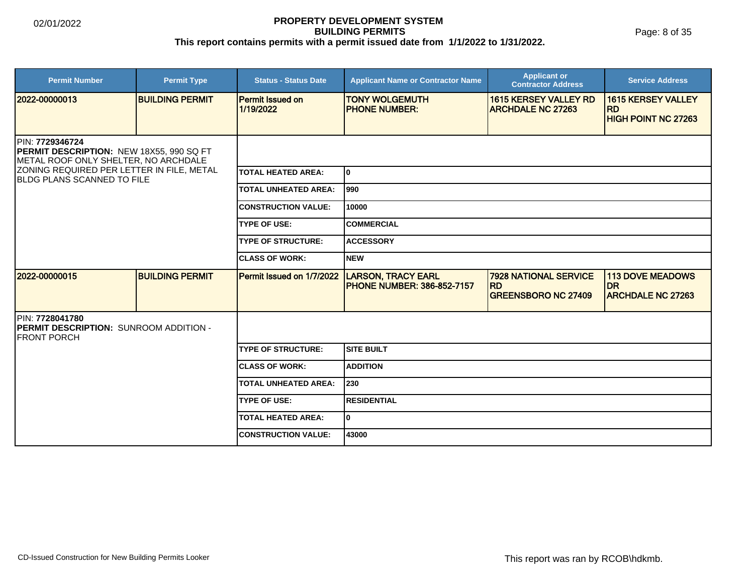Page: 8 of 35

| <b>Permit Number</b>                                                                                                                                                                         | <b>Permit Type</b>     | <b>Status - Status Date</b>          | <b>Applicant Name or Contractor Name</b>                       | <b>Applicant or</b><br><b>Contractor Address</b>                        | <b>Service Address</b>                                                |  |
|----------------------------------------------------------------------------------------------------------------------------------------------------------------------------------------------|------------------------|--------------------------------------|----------------------------------------------------------------|-------------------------------------------------------------------------|-----------------------------------------------------------------------|--|
| 12022-00000013                                                                                                                                                                               | <b>BUILDING PERMIT</b> | <b>Permit Issued on</b><br>1/19/2022 | <b>TONY WOLGEMUTH</b><br><b>IPHONE NUMBER:</b>                 | <b>1615 KERSEY VALLEY RD</b><br><b>ARCHDALE NC 27263</b>                | <b>1615 KERSEY VALLEY</b><br><b>IRD</b><br><b>HIGH POINT NC 27263</b> |  |
| PIN: 7729346724<br><b>PERMIT DESCRIPTION: NEW 18X55, 990 SQ FT</b><br>METAL ROOF ONLY SHELTER, NO ARCHDALE<br>ZONING REQUIRED PER LETTER IN FILE, METAL<br><b>BLDG PLANS SCANNED TO FILE</b> |                        |                                      |                                                                |                                                                         |                                                                       |  |
|                                                                                                                                                                                              |                        | <b>TOTAL HEATED AREA:</b>            | I٥                                                             |                                                                         |                                                                       |  |
|                                                                                                                                                                                              |                        | <b>TOTAL UNHEATED AREA:</b>          | l990                                                           |                                                                         |                                                                       |  |
|                                                                                                                                                                                              |                        | <b>CONSTRUCTION VALUE:</b>           | 10000                                                          |                                                                         |                                                                       |  |
|                                                                                                                                                                                              |                        | <b>TYPE OF USE:</b>                  | <b>COMMERCIAL</b>                                              |                                                                         |                                                                       |  |
|                                                                                                                                                                                              |                        | <b>TYPE OF STRUCTURE:</b>            | <b>ACCESSORY</b>                                               |                                                                         |                                                                       |  |
|                                                                                                                                                                                              |                        | <b>CLASS OF WORK:</b>                | Inew                                                           |                                                                         |                                                                       |  |
| 2022-00000015                                                                                                                                                                                | <b>BUILDING PERMIT</b> | Permit Issued on 1/7/2022            | <b>LARSON, TRACY EARL</b><br><b>PHONE NUMBER: 386-852-7157</b> | <b>7928 NATIONAL SERVICE</b><br><b>RD</b><br><b>GREENSBORO NC 27409</b> | <b>113 DOVE MEADOWS</b><br><b>DR</b><br><b>ARCHDALE NC 27263</b>      |  |
| PIN: 7728041780<br><b>PERMIT DESCRIPTION: SUNROOM ADDITION -</b><br><b>FRONT PORCH</b>                                                                                                       |                        |                                      |                                                                |                                                                         |                                                                       |  |
|                                                                                                                                                                                              |                        | <b>TYPE OF STRUCTURE:</b>            | <b>SITE BUILT</b>                                              |                                                                         |                                                                       |  |
|                                                                                                                                                                                              |                        | <b>CLASS OF WORK:</b>                | <b>ADDITION</b>                                                |                                                                         |                                                                       |  |
|                                                                                                                                                                                              |                        | <b>TOTAL UNHEATED AREA:</b>          | 230                                                            |                                                                         |                                                                       |  |
|                                                                                                                                                                                              |                        | <b>TYPE OF USE:</b>                  | <b>RESIDENTIAL</b>                                             |                                                                         |                                                                       |  |
|                                                                                                                                                                                              |                        | <b>TOTAL HEATED AREA:</b>            | I٥                                                             |                                                                         |                                                                       |  |
|                                                                                                                                                                                              |                        | <b>CONSTRUCTION VALUE:</b>           | 43000                                                          |                                                                         |                                                                       |  |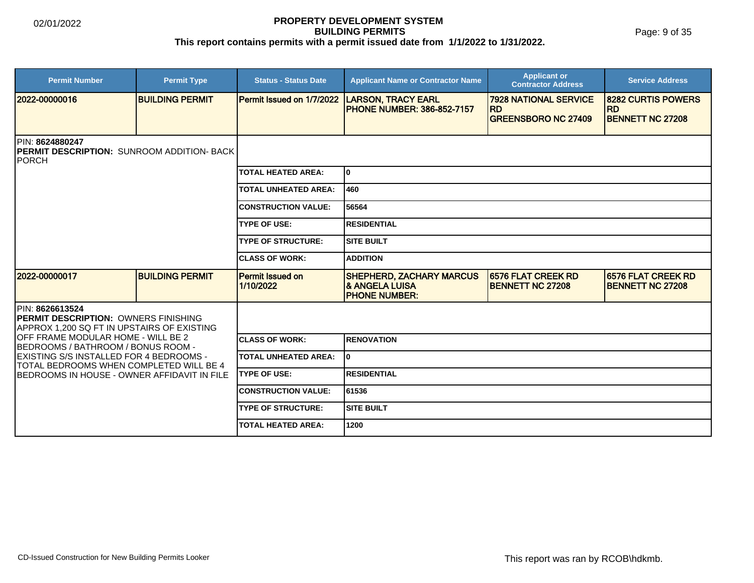Page: 9 of 35

| <b>Permit Number</b>                                                                                                 | <b>Permit Type</b>     | <b>Status - Status Date</b>          | <b>Applicant Name or Contractor Name</b>                                              | <b>Applicant or</b><br><b>Contractor Address</b>     | <b>Service Address</b>                               |  |
|----------------------------------------------------------------------------------------------------------------------|------------------------|--------------------------------------|---------------------------------------------------------------------------------------|------------------------------------------------------|------------------------------------------------------|--|
| 12022-00000016                                                                                                       | <b>BUILDING PERMIT</b> | Permit Issued on 1/7/2022            | <b>LARSON, TRACY EARL</b><br><b>PHONE NUMBER: 386-852-7157</b>                        | <b>7928 NATIONAL SERVICE</b><br><b>RD</b>            | 8282 CURTIS POWERS<br><b>RD</b>                      |  |
|                                                                                                                      |                        |                                      |                                                                                       | <b>GREENSBORO NC 27409</b>                           | <b>BENNETT NC 27208</b>                              |  |
| <b>IPIN: 8624880247</b><br><b>IPERMIT DESCRIPTION: SUNROOM ADDITION- BACK</b><br>IPORCH                              |                        |                                      |                                                                                       |                                                      |                                                      |  |
|                                                                                                                      |                        | <b>TOTAL HEATED AREA:</b>            | lo.                                                                                   |                                                      |                                                      |  |
|                                                                                                                      |                        | <b>TOTAL UNHEATED AREA:</b>          | 460                                                                                   |                                                      |                                                      |  |
|                                                                                                                      |                        | <b>CONSTRUCTION VALUE:</b>           | 56564                                                                                 |                                                      |                                                      |  |
|                                                                                                                      |                        | <b>TYPE OF USE:</b>                  | IRESIDENTIAL                                                                          |                                                      |                                                      |  |
|                                                                                                                      |                        | <b>TYPE OF STRUCTURE:</b>            | ISITE BUILT                                                                           |                                                      |                                                      |  |
|                                                                                                                      |                        | <b>CLASS OF WORK:</b>                | <b>ADDITION</b>                                                                       |                                                      |                                                      |  |
| 2022-00000017                                                                                                        | <b>BUILDING PERMIT</b> | <b>Permit Issued on</b><br>1/10/2022 | <b>SHEPHERD, ZACHARY MARCUS</b><br><b>&amp; ANGELA LUISA</b><br><b>IPHONE NUMBER:</b> | <b>6576 FLAT CREEK RD</b><br><b>BENNETT NC 27208</b> | <b>6576 FLAT CREEK RD</b><br><b>BENNETT NC 27208</b> |  |
| <b>IPIN: 8626613524</b><br><b>PERMIT DESCRIPTION: OWNERS FINISHING</b><br>APPROX 1,200 SQ FT IN UPSTAIRS OF EXISTING |                        |                                      |                                                                                       |                                                      |                                                      |  |
| OFF FRAME MODULAR HOME - WILL BE 2<br><b>BEDROOMS / BATHROOM / BONUS ROOM -</b>                                      |                        | <b>ICLASS OF WORK:</b>               | <b>IRENOVATION</b>                                                                    |                                                      |                                                      |  |
| EXISTING S/S INSTALLED FOR 4 BEDROOMS -<br>TOTAL BEDROOMS WHEN COMPLETED WILL BE 4                                   |                        | <b>TOTAL UNHEATED AREA:</b>          | lo                                                                                    |                                                      |                                                      |  |
| BEDROOMS IN HOUSE - OWNER AFFIDAVIT IN FILE                                                                          |                        | <b>TYPE OF USE:</b>                  | <b>RESIDENTIAL</b>                                                                    |                                                      |                                                      |  |
|                                                                                                                      |                        | <b>CONSTRUCTION VALUE:</b>           | 61536                                                                                 |                                                      |                                                      |  |
|                                                                                                                      |                        | <b>TYPE OF STRUCTURE:</b>            | ISITE BUILT                                                                           |                                                      |                                                      |  |
|                                                                                                                      |                        | TOTAL HEATED AREA:                   | 1200                                                                                  |                                                      |                                                      |  |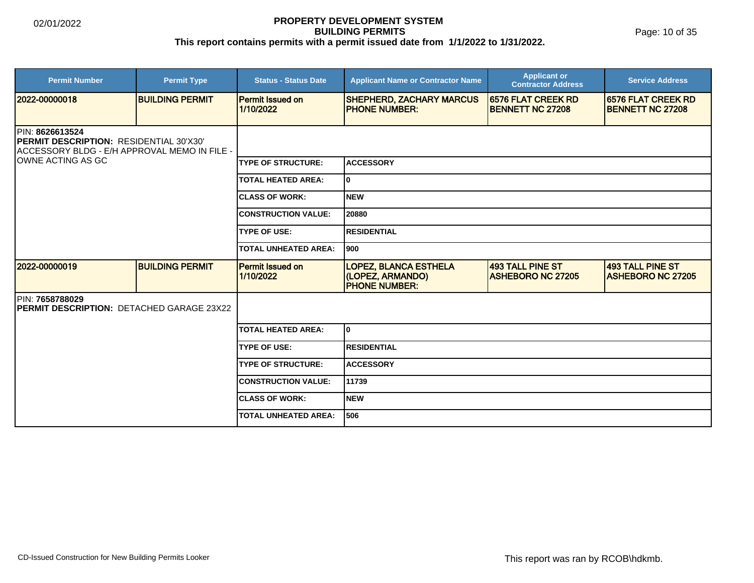Page: 10 of 35

| <b>Permit Number</b>                                                                                                                     | <b>Permit Type</b>     | <b>Status - Status Date</b>   | <b>Applicant Name or Contractor Name</b>                                 | <b>Applicant or</b><br><b>Contractor Address</b> | <b>Service Address</b>                        |  |
|------------------------------------------------------------------------------------------------------------------------------------------|------------------------|-------------------------------|--------------------------------------------------------------------------|--------------------------------------------------|-----------------------------------------------|--|
| 2022-00000018                                                                                                                            | <b>BUILDING PERMIT</b> | Permit Issued on<br>1/10/2022 | <b>SHEPHERD, ZACHARY MARCUS</b><br><b>PHONE NUMBER:</b>                  | 6576 FLAT CREEK RD<br><b>BENNETT NC 27208</b>    | 6576 FLAT CREEK RD<br><b>BENNETT NC 27208</b> |  |
| <b>IPIN: 8626613524</b><br>PERMIT DESCRIPTION: RESIDENTIAL 30'X30'<br>ACCESSORY BLDG - E/H APPROVAL MEMO IN FILE -<br>IOWNE ACTING AS GC |                        |                               |                                                                          |                                                  |                                               |  |
|                                                                                                                                          |                        | <b>TYPE OF STRUCTURE:</b>     | <b>ACCESSORY</b>                                                         |                                                  |                                               |  |
|                                                                                                                                          |                        | <b>TOTAL HEATED AREA:</b>     | 0                                                                        |                                                  |                                               |  |
|                                                                                                                                          |                        | <b>CLASS OF WORK:</b>         | <b>NEW</b>                                                               |                                                  |                                               |  |
|                                                                                                                                          |                        | <b>CONSTRUCTION VALUE:</b>    | 20880                                                                    |                                                  |                                               |  |
|                                                                                                                                          |                        | <b>TYPE OF USE:</b>           | <b>RESIDENTIAL</b>                                                       |                                                  |                                               |  |
|                                                                                                                                          |                        | <b>TOTAL UNHEATED AREA:</b>   | 900                                                                      |                                                  |                                               |  |
| 2022-00000019                                                                                                                            | <b>BUILDING PERMIT</b> | Permit Issued on<br>1/10/2022 | <b>LOPEZ, BLANCA ESTHELA</b><br>(LOPEZ, ARMANDO)<br><b>PHONE NUMBER:</b> | 493 TALL PINE ST<br><b>ASHEBORO NC 27205</b>     | 493 TALL PINE ST<br><b>ASHEBORO NC 27205</b>  |  |
| PIN: 7658788029<br>PERMIT DESCRIPTION: DETACHED GARAGE 23X22                                                                             |                        |                               |                                                                          |                                                  |                                               |  |
|                                                                                                                                          |                        | <b>TOTAL HEATED AREA:</b>     | 0                                                                        |                                                  |                                               |  |
|                                                                                                                                          |                        | <b>TYPE OF USE:</b>           | <b>RESIDENTIAL</b>                                                       |                                                  |                                               |  |
|                                                                                                                                          |                        | <b>TYPE OF STRUCTURE:</b>     | <b>ACCESSORY</b>                                                         |                                                  |                                               |  |
|                                                                                                                                          |                        | <b>CONSTRUCTION VALUE:</b>    | 11739                                                                    |                                                  |                                               |  |
|                                                                                                                                          |                        | <b>CLASS OF WORK:</b>         | <b>NEW</b>                                                               |                                                  |                                               |  |
|                                                                                                                                          |                        | <b>TOTAL UNHEATED AREA:</b>   | 506                                                                      |                                                  |                                               |  |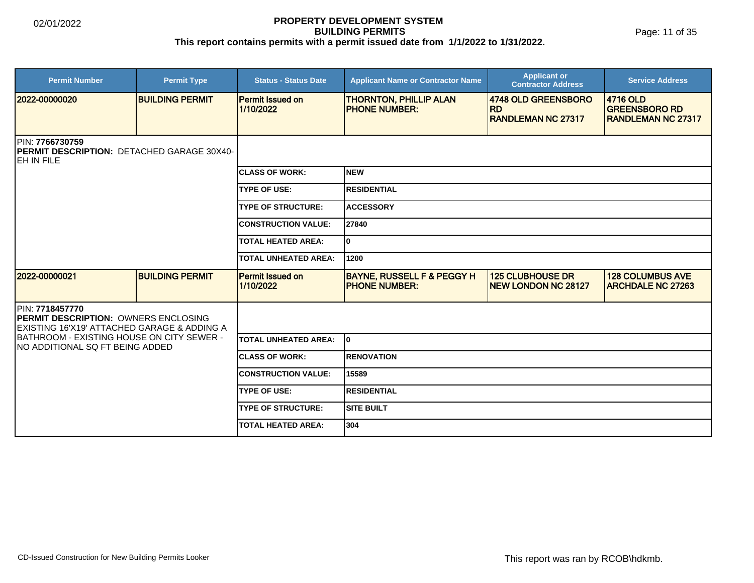| <b>Permit Number</b>                                                                                           | <b>Permit Type</b>     | <b>Status - Status Date</b>          | <b>Applicant Name or Contractor Name</b>                      | <b>Applicant or</b><br><b>Contractor Address</b>              | <b>Service Address</b>                                         |  |  |
|----------------------------------------------------------------------------------------------------------------|------------------------|--------------------------------------|---------------------------------------------------------------|---------------------------------------------------------------|----------------------------------------------------------------|--|--|
| 2022-00000020                                                                                                  | <b>BUILDING PERMIT</b> | <b>Permit Issued on</b><br>1/10/2022 | <b>THORNTON, PHILLIP ALAN</b><br><b>PHONE NUMBER:</b>         | 4748 OLD GREENSBORO<br><b>RD</b><br><b>RANDLEMAN NC 27317</b> | 4716 OLD<br><b>GREENSBORO RD</b><br><b>IRANDLEMAN NC 27317</b> |  |  |
| PIN: 7766730759<br>PERMIT DESCRIPTION: DETACHED GARAGE 30X40-<br>IEH IN FILE                                   |                        |                                      |                                                               |                                                               |                                                                |  |  |
|                                                                                                                |                        | <b>CLASS OF WORK:</b>                | <b>NEW</b>                                                    |                                                               |                                                                |  |  |
|                                                                                                                |                        | <b>TYPE OF USE:</b>                  | <b>RESIDENTIAL</b>                                            |                                                               |                                                                |  |  |
|                                                                                                                |                        | <b>TYPE OF STRUCTURE:</b>            | <b>ACCESSORY</b>                                              |                                                               |                                                                |  |  |
|                                                                                                                |                        | <b>CONSTRUCTION VALUE:</b>           | 27840                                                         |                                                               |                                                                |  |  |
|                                                                                                                |                        | <b>TOTAL HEATED AREA:</b>            | 0                                                             |                                                               |                                                                |  |  |
|                                                                                                                |                        | <b>TOTAL UNHEATED AREA:</b>          | 1200                                                          |                                                               |                                                                |  |  |
| 2022-00000021                                                                                                  | <b>BUILDING PERMIT</b> | <b>Permit Issued on</b><br>1/10/2022 | <b>BAYNE, RUSSELL F &amp; PEGGY H</b><br><b>PHONE NUMBER:</b> | <b>125 CLUBHOUSE DR</b><br><b>NEW LONDON NC 28127</b>         | <b>128 COLUMBUS AVE</b><br><b>ARCHDALE NC 27263</b>            |  |  |
| PIN: 7718457770<br><b>IPERMIT DESCRIPTION: OWNERS ENCLOSING</b><br>EXISTING 16'X19' ATTACHED GARAGE & ADDING A |                        |                                      |                                                               |                                                               |                                                                |  |  |
| BATHROOM - EXISTING HOUSE ON CITY SEWER -<br>INO ADDITIONAL SQ FT BEING ADDED                                  |                        | <b>TOTAL UNHEATED AREA:</b>          | I٥                                                            |                                                               |                                                                |  |  |
|                                                                                                                |                        | <b>CLASS OF WORK:</b>                | <b>RENOVATION</b>                                             |                                                               |                                                                |  |  |
|                                                                                                                |                        | <b>CONSTRUCTION VALUE:</b>           | 15589                                                         |                                                               |                                                                |  |  |
|                                                                                                                |                        | <b>TYPE OF USE:</b>                  | <b>RESIDENTIAL</b>                                            |                                                               |                                                                |  |  |
|                                                                                                                |                        | <b>TYPE OF STRUCTURE:</b>            | <b>SITE BUILT</b>                                             |                                                               |                                                                |  |  |
|                                                                                                                |                        | <b>TOTAL HEATED AREA:</b>            | 304                                                           |                                                               |                                                                |  |  |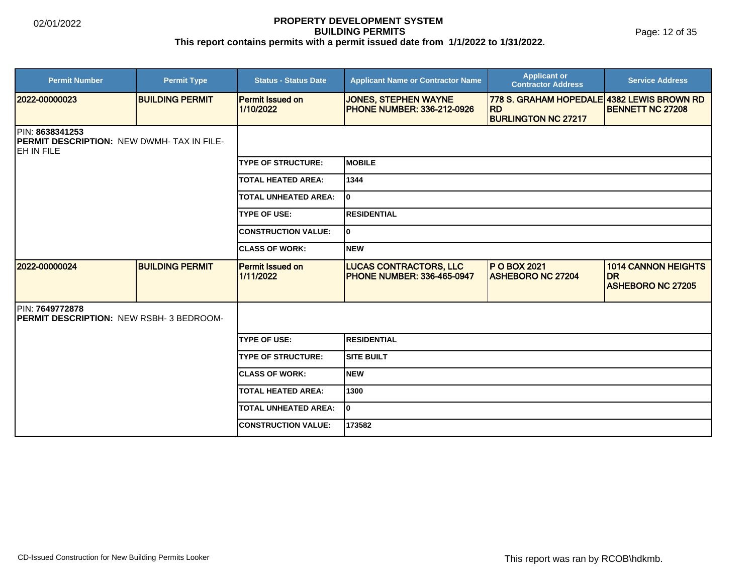Page: 12 of 35

| <b>Permit Number</b>                                                                              | <b>Permit Type</b>     | <b>Status - Status Date</b>          | <b>Applicant Name or Contractor Name</b>                           | <b>Applicant or</b><br><b>Contractor Address</b>                                      | <b>Service Address</b>                                              |
|---------------------------------------------------------------------------------------------------|------------------------|--------------------------------------|--------------------------------------------------------------------|---------------------------------------------------------------------------------------|---------------------------------------------------------------------|
| 2022-00000023                                                                                     | <b>BUILDING PERMIT</b> | <b>Permit Issued on</b><br>1/10/2022 | <b>JONES, STEPHEN WAYNE</b><br><b>PHONE NUMBER: 336-212-0926</b>   | 778 S. GRAHAM HOPEDALE 4382 LEWIS BROWN RD<br><b>RD</b><br><b>BURLINGTON NC 27217</b> | <b>BENNETT NC 27208</b>                                             |
| <b>IPIN: 8638341253</b><br><b>PERMIT DESCRIPTION: NEW DWMH-TAX IN FILE-</b><br><b>IEH IN FILE</b> |                        |                                      |                                                                    |                                                                                       |                                                                     |
|                                                                                                   |                        | <b>TYPE OF STRUCTURE:</b>            | IMOBILE                                                            |                                                                                       |                                                                     |
|                                                                                                   |                        | <b>TOTAL HEATED AREA:</b>            | 1344                                                               |                                                                                       |                                                                     |
|                                                                                                   |                        | <b>TOTAL UNHEATED AREA:</b>          | lo.                                                                |                                                                                       |                                                                     |
|                                                                                                   |                        | <b>TYPE OF USE:</b>                  | IRESIDENTIAL                                                       |                                                                                       |                                                                     |
|                                                                                                   |                        | <b>CONSTRUCTION VALUE:</b>           | lo.                                                                |                                                                                       |                                                                     |
|                                                                                                   |                        | <b>CLASS OF WORK:</b>                | <b>NEW</b>                                                         |                                                                                       |                                                                     |
| 2022-00000024                                                                                     | <b>BUILDING PERMIT</b> | <b>Permit Issued on</b><br>1/11/2022 | <b>LUCAS CONTRACTORS, LLC</b><br><b>PHONE NUMBER: 336-465-0947</b> | <b>P O BOX 2021</b><br><b>ASHEBORO NC 27204</b>                                       | <b>1014 CANNON HEIGHTS</b><br><b>DR</b><br><b>ASHEBORO NC 27205</b> |
| PIN: 7649772878<br>PERMIT DESCRIPTION: NEW RSBH- 3 BEDROOM-                                       |                        |                                      |                                                                    |                                                                                       |                                                                     |
|                                                                                                   |                        | <b>TYPE OF USE:</b>                  | IRESIDENTIAL                                                       |                                                                                       |                                                                     |
|                                                                                                   |                        | <b>TYPE OF STRUCTURE:</b>            | Isite built                                                        |                                                                                       |                                                                     |
|                                                                                                   |                        | <b>ICLASS OF WORK:</b>               | <b>NEW</b>                                                         |                                                                                       |                                                                     |
|                                                                                                   |                        | <b>TOTAL HEATED AREA:</b>            | 1300                                                               |                                                                                       |                                                                     |
|                                                                                                   |                        | <b>TOTAL UNHEATED AREA:</b>          | lo                                                                 |                                                                                       |                                                                     |
|                                                                                                   |                        | <b>CONSTRUCTION VALUE:</b>           | 173582                                                             |                                                                                       |                                                                     |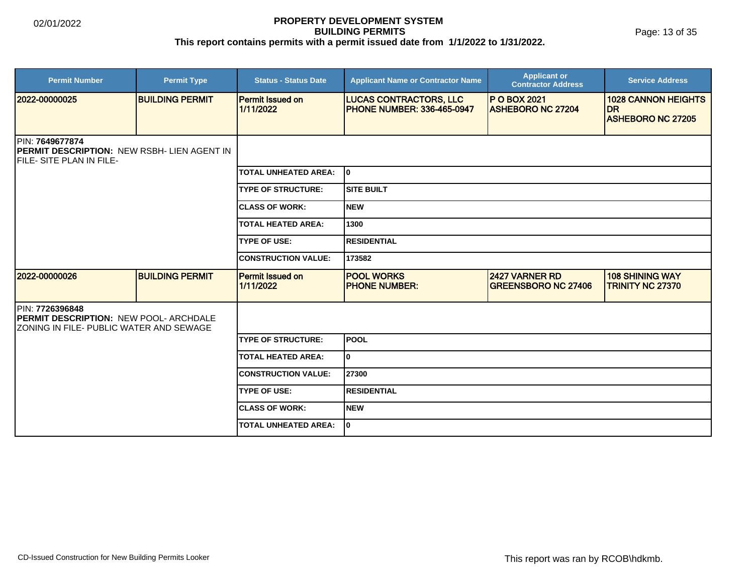Page: 13 of 35

| <b>Permit Number</b>                                                                                         | <b>Permit Type</b>     | <b>Status - Status Date</b>          | <b>Applicant Name or Contractor Name</b>                           | <b>Applicant or</b><br><b>Contractor Address</b> | <b>Service Address</b>                            |
|--------------------------------------------------------------------------------------------------------------|------------------------|--------------------------------------|--------------------------------------------------------------------|--------------------------------------------------|---------------------------------------------------|
| 2022-00000025                                                                                                | <b>BUILDING PERMIT</b> | <b>Permit Issued on</b><br>1/11/2022 | <b>LUCAS CONTRACTORS, LLC</b><br><b>PHONE NUMBER: 336-465-0947</b> | <b>P O BOX 2021</b><br><b>ASHEBORO NC 27204</b>  | <b>1028 CANNON HEIGHTS</b><br><b>IDR</b>          |
|                                                                                                              |                        |                                      |                                                                    |                                                  | <b>ASHEBORO NC 27205</b>                          |
| PIN: 7649677874<br><b>PERMIT DESCRIPTION: NEW RSBH- LIEN AGENT IN</b><br><b>IFILE- SITE PLAN IN FILE-</b>    |                        |                                      |                                                                    |                                                  |                                                   |
|                                                                                                              |                        | <b>TOTAL UNHEATED AREA:</b>          | lo.                                                                |                                                  |                                                   |
|                                                                                                              |                        | <b>TYPE OF STRUCTURE:</b>            | ISITE BUILT                                                        |                                                  |                                                   |
|                                                                                                              |                        | <b>CLASS OF WORK:</b>                | Inew                                                               |                                                  |                                                   |
|                                                                                                              |                        | <b>TOTAL HEATED AREA:</b>            | 1300                                                               |                                                  |                                                   |
|                                                                                                              |                        | <b>TYPE OF USE:</b>                  | IRESIDENTIAL                                                       |                                                  |                                                   |
|                                                                                                              |                        | <b>CONSTRUCTION VALUE:</b>           | 173582                                                             |                                                  |                                                   |
| 2022-00000026                                                                                                | <b>BUILDING PERMIT</b> | <b>Permit Issued on</b><br>1/11/2022 | <b>POOL WORKS</b><br><b>PHONE NUMBER:</b>                          | 2427 VARNER RD<br><b>GREENSBORO NC 27406</b>     | <b>108 SHINING WAY</b><br><b>TRINITY NC 27370</b> |
| PIN: 7726396848<br><b>PERMIT DESCRIPTION: NEW POOL- ARCHDALE</b><br>IZONING IN FILE- PUBLIC WATER AND SEWAGE |                        |                                      |                                                                    |                                                  |                                                   |
|                                                                                                              |                        | <b>TYPE OF STRUCTURE:</b>            | lpool                                                              |                                                  |                                                   |
|                                                                                                              |                        | <b>TOTAL HEATED AREA:</b>            | I٥                                                                 |                                                  |                                                   |
|                                                                                                              |                        | <b>CONSTRUCTION VALUE:</b>           | 27300                                                              |                                                  |                                                   |
|                                                                                                              |                        | <b>TYPE OF USE:</b>                  | <b>RESIDENTIAL</b>                                                 |                                                  |                                                   |
|                                                                                                              |                        | <b>CLASS OF WORK:</b>                | Inew                                                               |                                                  |                                                   |
|                                                                                                              |                        | <b>TOTAL UNHEATED AREA:</b>          | I٥                                                                 |                                                  |                                                   |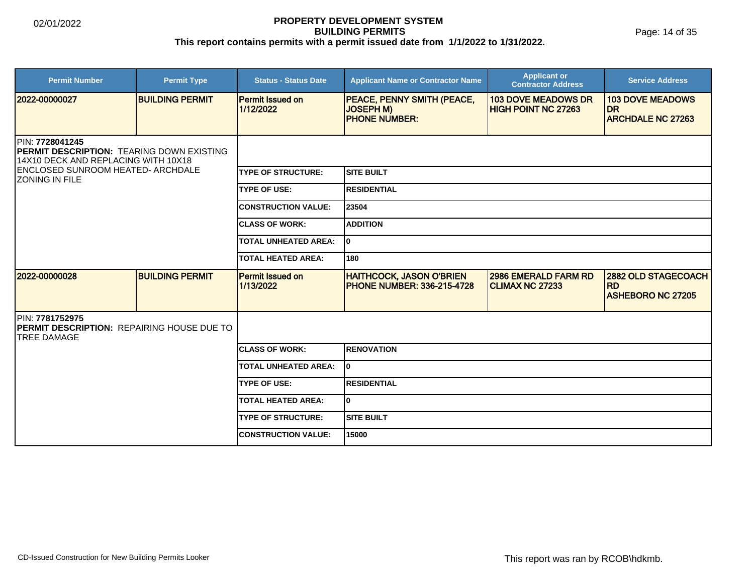Page: 14 of 35

| <b>Permit Number</b>                                                                                                                                                      | <b>Permit Type</b>     | <b>Status - Status Date</b>          | <b>Applicant Name or Contractor Name</b>                               | <b>Applicant or</b><br><b>Contractor Address</b>         | <b>Service Address</b>                                              |  |  |
|---------------------------------------------------------------------------------------------------------------------------------------------------------------------------|------------------------|--------------------------------------|------------------------------------------------------------------------|----------------------------------------------------------|---------------------------------------------------------------------|--|--|
| 2022-00000027                                                                                                                                                             | <b>BUILDING PERMIT</b> | <b>Permit Issued on</b><br>1/12/2022 | PEACE, PENNY SMITH (PEACE,<br><b>JOSEPH M)</b><br><b>PHONE NUMBER:</b> | <b>103 DOVE MEADOWS DR</b><br><b>HIGH POINT NC 27263</b> | <b>103 DOVE MEADOWS</b><br><b>DR</b><br><b>ARCHDALE NC 27263</b>    |  |  |
| PIN: 7728041245<br><b>PERMIT DESCRIPTION: TEARING DOWN EXISTING</b><br>14X10 DECK AND REPLACING WITH 10X18<br><b>ENCLOSED SUNROOM HEATED- ARCHDALE</b><br>IZONING IN FILE |                        |                                      |                                                                        |                                                          |                                                                     |  |  |
|                                                                                                                                                                           |                        | <b>TYPE OF STRUCTURE:</b>            | Isite built                                                            |                                                          |                                                                     |  |  |
|                                                                                                                                                                           |                        | <b>TYPE OF USE:</b>                  | <b>IRESIDENTIAL</b>                                                    |                                                          |                                                                     |  |  |
|                                                                                                                                                                           |                        | <b>CONSTRUCTION VALUE:</b>           | 23504                                                                  |                                                          |                                                                     |  |  |
|                                                                                                                                                                           |                        | <b>CLASS OF WORK:</b>                | <b>ADDITION</b>                                                        |                                                          |                                                                     |  |  |
|                                                                                                                                                                           |                        | <b>TOTAL UNHEATED AREA:</b>          | lo.                                                                    |                                                          |                                                                     |  |  |
|                                                                                                                                                                           |                        | <b>TOTAL HEATED AREA:</b>            | 180                                                                    |                                                          |                                                                     |  |  |
| 2022-00000028                                                                                                                                                             | <b>BUILDING PERMIT</b> | <b>Permit Issued on</b><br>1/13/2022 | <b>HAITHCOCK, JASON O'BRIEN</b><br><b>IPHONE NUMBER: 336-215-4728</b>  | <b>2986 EMERALD FARM RD</b><br><b>CLIMAX NC 27233</b>    | <b>2882 OLD STAGECOACH</b><br><b>RD</b><br><b>ASHEBORO NC 27205</b> |  |  |
| PIN: 7781752975<br>PERMIT DESCRIPTION: REPAIRING HOUSE DUE TO<br><b>ITREE DAMAGE</b>                                                                                      |                        |                                      |                                                                        |                                                          |                                                                     |  |  |
|                                                                                                                                                                           |                        | <b>CLASS OF WORK:</b>                | <b>RENOVATION</b>                                                      |                                                          |                                                                     |  |  |
|                                                                                                                                                                           |                        | <b>TOTAL UNHEATED AREA:</b>          | lo                                                                     |                                                          |                                                                     |  |  |
|                                                                                                                                                                           |                        | <b>TYPE OF USE:</b>                  | RESIDENTIAL                                                            |                                                          |                                                                     |  |  |
|                                                                                                                                                                           |                        | <b>TOTAL HEATED AREA:</b>            | I٥                                                                     |                                                          |                                                                     |  |  |
|                                                                                                                                                                           |                        | <b>TYPE OF STRUCTURE:</b>            | <b>SITE BUILT</b>                                                      |                                                          |                                                                     |  |  |
|                                                                                                                                                                           |                        | <b>CONSTRUCTION VALUE:</b>           | 15000                                                                  |                                                          |                                                                     |  |  |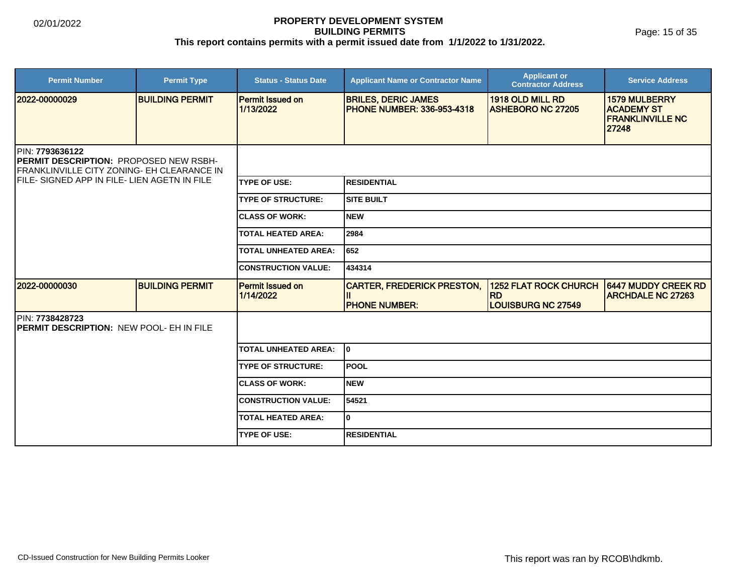| <b>Permit Number</b>                                                                                                                                                   | <b>Permit Type</b>     | <b>Status - Status Date</b>          | <b>Applicant Name or Contractor Name</b>                        | <b>Applicant or</b><br><b>Contractor Address</b>                | <b>Service Address</b>                                                        |  |
|------------------------------------------------------------------------------------------------------------------------------------------------------------------------|------------------------|--------------------------------------|-----------------------------------------------------------------|-----------------------------------------------------------------|-------------------------------------------------------------------------------|--|
| 2022-00000029                                                                                                                                                          | <b>BUILDING PERMIT</b> | <b>Permit Issued on</b><br>1/13/2022 | <b>BRILES, DERIC JAMES</b><br><b>PHONE NUMBER: 336-953-4318</b> | 1918 OLD MILL RD<br><b>ASHEBORO NC 27205</b>                    | <b>1579 MULBERRY</b><br><b>ACADEMY ST</b><br><b>FRANKLINVILLE NC</b><br>27248 |  |
| PIN: 7793636122<br><b>PERMIT DESCRIPTION: PROPOSED NEW RSBH-</b><br>FRANKLINVILLE CITY ZONING- EH CLEARANCE IN<br><b>IFILE- SIGNED APP IN FILE- LIEN AGETN IN FILE</b> |                        |                                      |                                                                 |                                                                 |                                                                               |  |
|                                                                                                                                                                        |                        | <b>TYPE OF USE:</b>                  | <b>RESIDENTIAL</b>                                              |                                                                 |                                                                               |  |
|                                                                                                                                                                        |                        | <b>TYPE OF STRUCTURE:</b>            | <b>ISITE BUILT</b>                                              |                                                                 |                                                                               |  |
|                                                                                                                                                                        |                        | <b>CLASS OF WORK:</b>                | <b>NEW</b>                                                      |                                                                 |                                                                               |  |
|                                                                                                                                                                        |                        | <b>TOTAL HEATED AREA:</b>            | 2984                                                            |                                                                 |                                                                               |  |
|                                                                                                                                                                        |                        | <b>TOTAL UNHEATED AREA:</b>          | 652                                                             |                                                                 |                                                                               |  |
|                                                                                                                                                                        |                        | <b>CONSTRUCTION VALUE:</b>           | 434314                                                          |                                                                 |                                                                               |  |
| 2022-00000030                                                                                                                                                          | <b>BUILDING PERMIT</b> | <b>Permit Issued on</b><br>1/14/2022 | <b>CARTER, FREDERICK PRESTON,</b><br><b>IPHONE NUMBER:</b>      | 1252 FLAT ROCK CHURCH<br><b>RD</b><br><b>LOUISBURG NC 27549</b> | 6447 MUDDY CREEK RD<br><b>ARCHDALE NC 27263</b>                               |  |
| <b>IPIN: 7738428723</b><br><b>IPERMIT DESCRIPTION: NEW POOL- EH IN FILE</b>                                                                                            |                        |                                      |                                                                 |                                                                 |                                                                               |  |
|                                                                                                                                                                        |                        | <b>TOTAL UNHEATED AREA:</b>          | I٥                                                              |                                                                 |                                                                               |  |
|                                                                                                                                                                        |                        | <b>TYPE OF STRUCTURE:</b>            | POOL                                                            |                                                                 |                                                                               |  |
|                                                                                                                                                                        |                        | <b>CLASS OF WORK:</b>                | Inew                                                            |                                                                 |                                                                               |  |
|                                                                                                                                                                        |                        | <b>CONSTRUCTION VALUE:</b>           | 54521                                                           |                                                                 |                                                                               |  |
|                                                                                                                                                                        |                        | <b>TOTAL HEATED AREA:</b>            | I٥                                                              |                                                                 |                                                                               |  |
|                                                                                                                                                                        |                        | <b>TYPE OF USE:</b>                  | <b>RESIDENTIAL</b>                                              |                                                                 |                                                                               |  |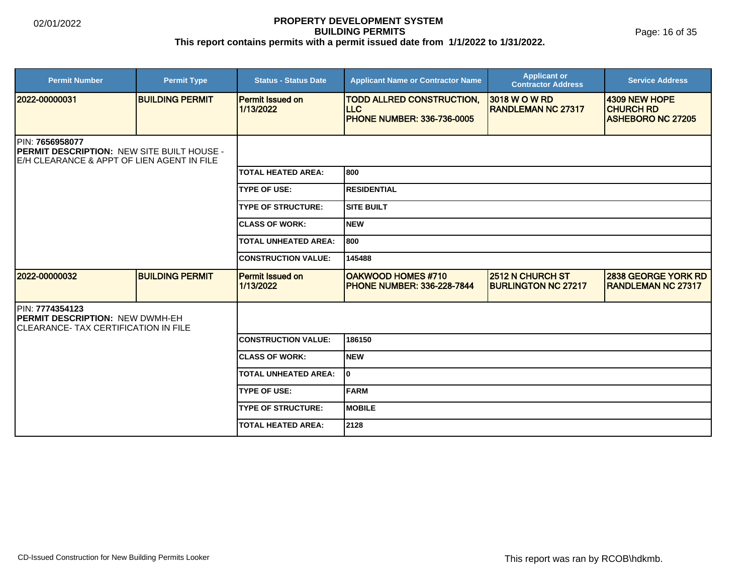Page: 16 of 35

| <b>Permit Number</b>                                                                                                | <b>Permit Type</b>     | <b>Status - Status Date</b>          | <b>Applicant Name or Contractor Name</b>                                             | <b>Applicant or</b><br><b>Contractor Address</b> | <b>Service Address</b>                                        |  |
|---------------------------------------------------------------------------------------------------------------------|------------------------|--------------------------------------|--------------------------------------------------------------------------------------|--------------------------------------------------|---------------------------------------------------------------|--|
| 2022-00000031                                                                                                       | <b>BUILDING PERMIT</b> | Permit Issued on<br>1/13/2022        | <b>TODD ALLRED CONSTRUCTION,</b><br><b>ILLC</b><br><b>PHONE NUMBER: 336-736-0005</b> | 3018 W O W RD<br><b>RANDLEMAN NC 27317</b>       | 4309 NEW HOPE<br><b>CHURCH RD</b><br><b>ASHEBORO NC 27205</b> |  |
| IPIN: 7656958077<br><b>PERMIT DESCRIPTION: NEW SITE BUILT HOUSE -</b><br>E/H CLEARANCE & APPT OF LIEN AGENT IN FILE |                        |                                      |                                                                                      |                                                  |                                                               |  |
|                                                                                                                     |                        | <b>TOTAL HEATED AREA:</b>            | 800                                                                                  |                                                  |                                                               |  |
|                                                                                                                     |                        | <b>TYPE OF USE:</b>                  | <b>RESIDENTIAL</b>                                                                   |                                                  |                                                               |  |
|                                                                                                                     |                        | <b>TYPE OF STRUCTURE:</b>            | <b>SITE BUILT</b>                                                                    |                                                  |                                                               |  |
|                                                                                                                     |                        | <b>ICLASS OF WORK:</b>               | Inew                                                                                 |                                                  |                                                               |  |
|                                                                                                                     |                        | <b>TOTAL UNHEATED AREA:</b>          | 1800                                                                                 |                                                  |                                                               |  |
|                                                                                                                     |                        | <b>CONSTRUCTION VALUE:</b>           | 145488                                                                               |                                                  |                                                               |  |
| 2022-00000032                                                                                                       | <b>BUILDING PERMIT</b> | <b>Permit Issued on</b><br>1/13/2022 | <b>OAKWOOD HOMES #710</b><br><b>PHONE NUMBER: 336-228-7844</b>                       | 2512 N CHURCH ST<br><b>BURLINGTON NC 27217</b>   | <b>2838 GEORGE YORK RD</b><br><b>RANDLEMAN NC 27317</b>       |  |
| PIN: 7774354123<br><b>PERMIT DESCRIPTION: NEW DWMH-EH</b><br><b>CLEARANCE- TAX CERTIFICATION IN FILE</b>            |                        |                                      |                                                                                      |                                                  |                                                               |  |
|                                                                                                                     |                        | <b>ICONSTRUCTION VALUE:</b>          | 186150                                                                               |                                                  |                                                               |  |
|                                                                                                                     |                        | <b>ICLASS OF WORK:</b>               | Inew                                                                                 |                                                  |                                                               |  |
|                                                                                                                     |                        | <b>TOTAL UNHEATED AREA:</b>          | lo.                                                                                  |                                                  |                                                               |  |
|                                                                                                                     |                        | <b>TYPE OF USE:</b>                  | <b>FARM</b>                                                                          |                                                  |                                                               |  |
|                                                                                                                     |                        | <b>TYPE OF STRUCTURE:</b>            | <b>MOBILE</b>                                                                        |                                                  |                                                               |  |
|                                                                                                                     |                        | <b>TOTAL HEATED AREA:</b>            | 2128                                                                                 |                                                  |                                                               |  |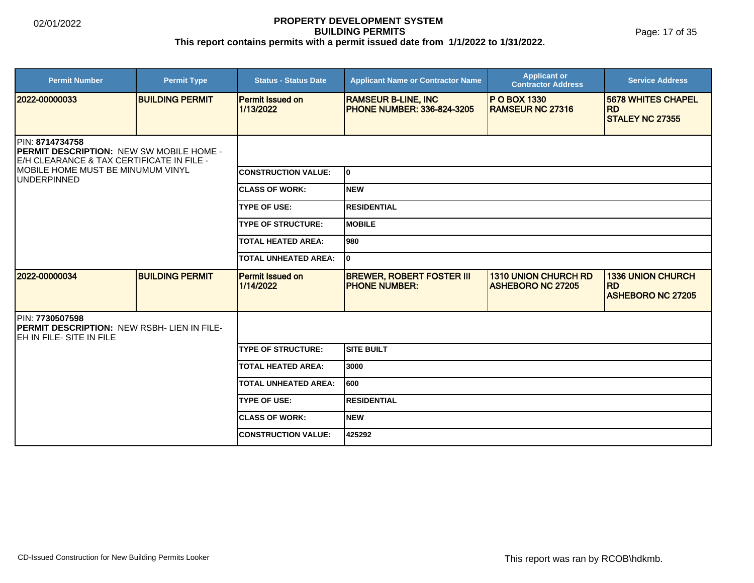Page: 17 of 35

| <b>Permit Number</b>                                                                                            | <b>Permit Type</b>     | <b>Status - Status Date</b>          | <b>Applicant Name or Contractor Name</b>                        | <b>Applicant or</b><br><b>Contractor Address</b>        | <b>Service Address</b>                                            |  |
|-----------------------------------------------------------------------------------------------------------------|------------------------|--------------------------------------|-----------------------------------------------------------------|---------------------------------------------------------|-------------------------------------------------------------------|--|
| 12022-00000033                                                                                                  | <b>BUILDING PERMIT</b> | <b>Permit Issued on</b><br>1/13/2022 | <b>RAMSEUR B-LINE, INC</b><br><b>PHONE NUMBER: 336-824-3205</b> | <b>IP O BOX 1330</b><br><b>RAMSEUR NC 27316</b>         | <b>5678 WHITES CHAPEL</b><br><b>RD</b><br><b>STALEY NC 27355</b>  |  |
| PIN: 8714734758<br><b>PERMIT DESCRIPTION: NEW SW MOBILE HOME -</b><br>E/H CLEARANCE & TAX CERTIFICATE IN FILE - |                        |                                      |                                                                 |                                                         |                                                                   |  |
| <b>IMOBILE HOME MUST BE MINUMUM VINYL</b><br><b>UNDERPINNED</b>                                                 |                        | <b>CONSTRUCTION VALUE:</b>           | lo.                                                             |                                                         |                                                                   |  |
|                                                                                                                 |                        | <b>ICLASS OF WORK:</b>               | INEW                                                            |                                                         |                                                                   |  |
|                                                                                                                 |                        | <b>TYPE OF USE:</b>                  | IRESIDENTIAL                                                    |                                                         |                                                                   |  |
|                                                                                                                 |                        | <b>TYPE OF STRUCTURE:</b>            | <b>IMOBILE</b>                                                  |                                                         |                                                                   |  |
|                                                                                                                 |                        | <b>TOTAL HEATED AREA:</b>            | l980                                                            |                                                         |                                                                   |  |
|                                                                                                                 |                        | TOTAL UNHEATED AREA:                 | I٥                                                              |                                                         |                                                                   |  |
| 2022-00000034                                                                                                   | <b>BUILDING PERMIT</b> | <b>Permit Issued on</b><br>1/14/2022 | <b>BREWER, ROBERT FOSTER III</b><br><b>IPHONE NUMBER:</b>       | <b>1310 UNION CHURCH RD</b><br><b>ASHEBORO NC 27205</b> | <b>1336 UNION CHURCH</b><br><b>RD</b><br><b>ASHEBORO NC 27205</b> |  |
| PIN: 7730507598<br><b>IPERMIT DESCRIPTION: NEW RSBH- LIEN IN FILE-</b><br>EH IN FILE- SITE IN FILE              |                        |                                      |                                                                 |                                                         |                                                                   |  |
|                                                                                                                 |                        | <b>TYPE OF STRUCTURE:</b>            | Isite built                                                     |                                                         |                                                                   |  |
|                                                                                                                 |                        | <b>TOTAL HEATED AREA:</b>            | 3000                                                            |                                                         |                                                                   |  |
|                                                                                                                 |                        | <b>TOTAL UNHEATED AREA:</b>          | 600                                                             |                                                         |                                                                   |  |
|                                                                                                                 |                        | <b>TYPE OF USE:</b>                  | <b>RESIDENTIAL</b>                                              |                                                         |                                                                   |  |
|                                                                                                                 |                        | <b>ICLASS OF WORK:</b>               | INEW                                                            |                                                         |                                                                   |  |
|                                                                                                                 |                        | <b>CONSTRUCTION VALUE:</b>           | 425292                                                          |                                                         |                                                                   |  |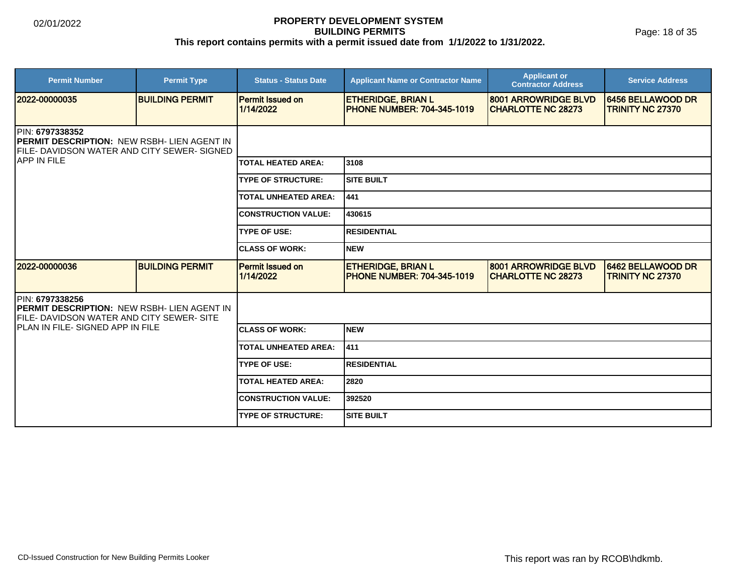Page: 18 of 35

| <b>Permit Number</b>                                                                                                                                       | <b>Permit Type</b>     | <b>Status - Status Date</b>          | <b>Applicant Name or Contractor Name</b>                       | <b>Applicant or</b><br><b>Contractor Address</b>  | <b>Service Address</b>                       |  |
|------------------------------------------------------------------------------------------------------------------------------------------------------------|------------------------|--------------------------------------|----------------------------------------------------------------|---------------------------------------------------|----------------------------------------------|--|
| 2022-00000035                                                                                                                                              | <b>BUILDING PERMIT</b> | <b>Permit Issued on</b><br>1/14/2022 | <b>ETHERIDGE, BRIAN L</b><br><b>PHONE NUMBER: 704-345-1019</b> | 8001 ARROWRIDGE BLVD<br><b>CHARLOTTE NC 28273</b> | 6456 BELLAWOOD DR<br><b>TRINITY NC 27370</b> |  |
| <b>IPIN: 6797338352</b><br><b>PERMIT DESCRIPTION: NEW RSBH- LIEN AGENT IN</b><br><b>FILE- DAVIDSON WATER AND CITY SEWER- SIGNED</b><br><b>JAPP IN FILE</b> |                        |                                      |                                                                |                                                   |                                              |  |
|                                                                                                                                                            |                        | <b>TOTAL HEATED AREA:</b>            | 3108                                                           |                                                   |                                              |  |
|                                                                                                                                                            |                        | <b>TYPE OF STRUCTURE:</b>            | <b>SITE BUILT</b>                                              |                                                   |                                              |  |
|                                                                                                                                                            |                        | <b>TOTAL UNHEATED AREA:</b>          | 441                                                            |                                                   |                                              |  |
|                                                                                                                                                            |                        | <b>CONSTRUCTION VALUE:</b>           | 430615                                                         |                                                   |                                              |  |
|                                                                                                                                                            |                        | <b>TYPE OF USE:</b>                  | <b>RESIDENTIAL</b>                                             |                                                   |                                              |  |
|                                                                                                                                                            |                        | <b>ICLASS OF WORK:</b>               | <b>NEW</b>                                                     |                                                   |                                              |  |
| 12022-00000036                                                                                                                                             | <b>BUILDING PERMIT</b> | <b>Permit Issued on</b><br>1/14/2022 | <b>ETHERIDGE, BRIAN L</b><br><b>PHONE NUMBER: 704-345-1019</b> | 8001 ARROWRIDGE BLVD<br><b>CHARLOTTE NC 28273</b> | 6462 BELLAWOOD DR<br><b>TRINITY NC 27370</b> |  |
| PIN: 6797338256<br><b>IPERMIT DESCRIPTION: NEW RSBH- LIEN AGENT IN</b><br><b>IFILE- DAVIDSON WATER AND CITY SEWER- SITE</b>                                |                        |                                      |                                                                |                                                   |                                              |  |
| IPLAN IN FILE- SIGNED APP IN FILE                                                                                                                          |                        | <b>ICLASS OF WORK:</b>               | <b>NEW</b>                                                     |                                                   |                                              |  |
|                                                                                                                                                            |                        | <b>TOTAL UNHEATED AREA:</b>          | 411                                                            |                                                   |                                              |  |
|                                                                                                                                                            |                        | <b>TYPE OF USE:</b>                  | <b>RESIDENTIAL</b>                                             |                                                   |                                              |  |
|                                                                                                                                                            |                        | <b>TOTAL HEATED AREA:</b>            | 2820                                                           |                                                   |                                              |  |
|                                                                                                                                                            |                        | <b>ICONSTRUCTION VALUE:</b>          | 392520                                                         |                                                   |                                              |  |
|                                                                                                                                                            |                        | <b>TYPE OF STRUCTURE:</b>            | <b>SITE BUILT</b>                                              |                                                   |                                              |  |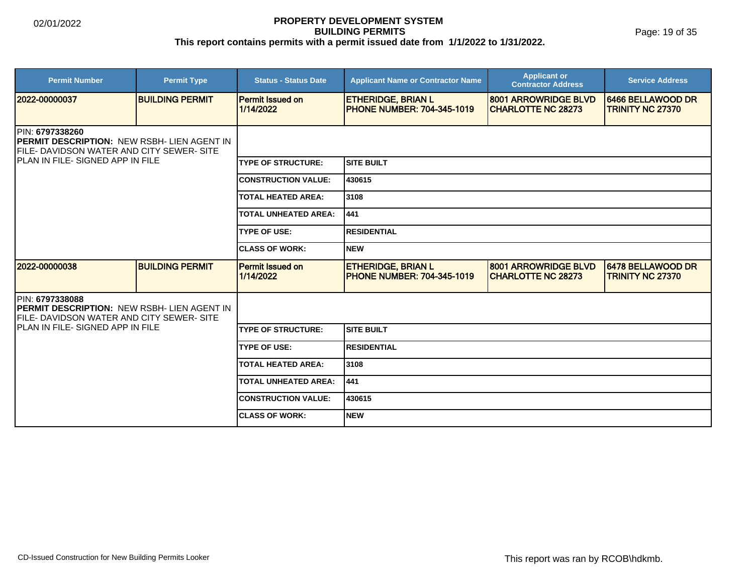Page: 19 of 35

| <b>Permit Number</b>                                                                                                                | <b>Permit Type</b>     | <b>Status - Status Date</b>          | <b>Applicant Name or Contractor Name</b>                       | <b>Applicant or</b><br><b>Contractor Address</b>  | <b>Service Address</b>                       |  |  |
|-------------------------------------------------------------------------------------------------------------------------------------|------------------------|--------------------------------------|----------------------------------------------------------------|---------------------------------------------------|----------------------------------------------|--|--|
| 2022-00000037                                                                                                                       | <b>BUILDING PERMIT</b> | <b>Permit Issued on</b><br>1/14/2022 | <b>ETHERIDGE, BRIAN L</b><br><b>PHONE NUMBER: 704-345-1019</b> | 8001 ARROWRIDGE BLVD<br><b>CHARLOTTE NC 28273</b> | 6466 BELLAWOOD DR<br><b>TRINITY NC 27370</b> |  |  |
| <b>IPIN: 6797338260</b><br><b>IPERMIT DESCRIPTION: NEW RSBH- LIEN AGENT IN</b><br><b>IFILE- DAVIDSON WATER AND CITY SEWER- SITE</b> |                        |                                      |                                                                |                                                   |                                              |  |  |
| IPLAN IN FILE-SIGNED APP IN FILE                                                                                                    |                        | <b>TYPE OF STRUCTURE:</b>            | <b>SITE BUILT</b>                                              |                                                   |                                              |  |  |
|                                                                                                                                     |                        | <b>CONSTRUCTION VALUE:</b>           | 430615                                                         |                                                   |                                              |  |  |
|                                                                                                                                     |                        | <b>TOTAL HEATED AREA:</b>            | 3108                                                           |                                                   |                                              |  |  |
|                                                                                                                                     |                        | <b>TOTAL UNHEATED AREA:</b>          | 441                                                            |                                                   |                                              |  |  |
|                                                                                                                                     |                        | <b>TYPE OF USE:</b>                  | <b>RESIDENTIAL</b>                                             |                                                   |                                              |  |  |
|                                                                                                                                     |                        | <b>CLASS OF WORK:</b>                | <b>NEW</b>                                                     |                                                   |                                              |  |  |
| 2022-00000038                                                                                                                       | <b>BUILDING PERMIT</b> | <b>Permit Issued on</b><br>1/14/2022 | <b>ETHERIDGE, BRIAN L</b><br><b>PHONE NUMBER: 704-345-1019</b> | 8001 ARROWRIDGE BLVD<br><b>CHARLOTTE NC 28273</b> | 6478 BELLAWOOD DR<br><b>TRINITY NC 27370</b> |  |  |
| <b>PIN: 6797338088</b><br>PERMIT DESCRIPTION: NEW RSBH- LIEN AGENT IN<br>FILE- DAVIDSON WATER AND CITY SEWER- SITE                  |                        |                                      |                                                                |                                                   |                                              |  |  |
| IPLAN IN FILE- SIGNED APP IN FILE                                                                                                   |                        | <b>TYPE OF STRUCTURE:</b>            | <b>SITE BUILT</b>                                              |                                                   |                                              |  |  |
|                                                                                                                                     |                        | <b>TYPE OF USE:</b>                  | <b>RESIDENTIAL</b>                                             |                                                   |                                              |  |  |
|                                                                                                                                     |                        | <b>TOTAL HEATED AREA:</b>            | 3108                                                           |                                                   |                                              |  |  |
|                                                                                                                                     |                        | <b>TOTAL UNHEATED AREA:</b>          | 441                                                            |                                                   |                                              |  |  |
|                                                                                                                                     |                        | <b>CONSTRUCTION VALUE:</b>           | 430615                                                         |                                                   |                                              |  |  |
|                                                                                                                                     |                        | <b>ICLASS OF WORK:</b>               | <b>NEW</b>                                                     |                                                   |                                              |  |  |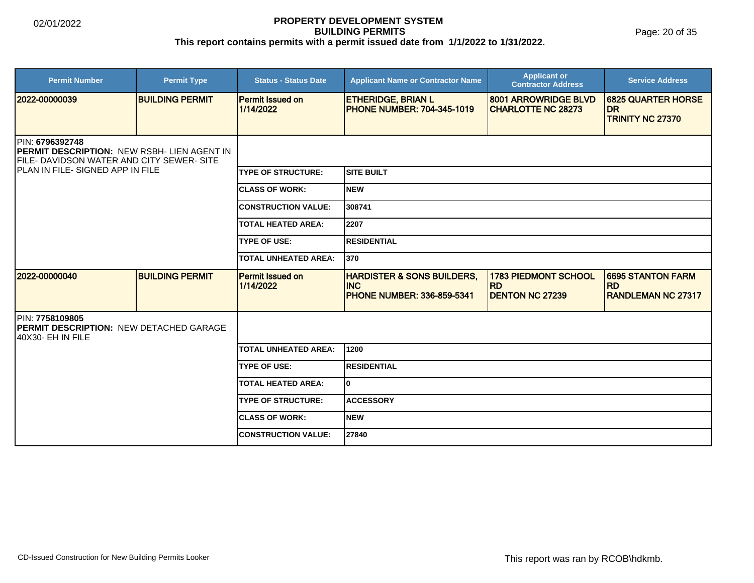Page: 20 of 35

| <b>Permit Number</b>                                                                                                                             | <b>Permit Type</b>     | <b>Status - Status Date</b>          | <b>Applicant Name or Contractor Name</b>                                                  | <b>Applicant or</b><br><b>Contractor Address</b>                   | <b>Service Address</b>                                            |  |  |
|--------------------------------------------------------------------------------------------------------------------------------------------------|------------------------|--------------------------------------|-------------------------------------------------------------------------------------------|--------------------------------------------------------------------|-------------------------------------------------------------------|--|--|
| 2022-00000039                                                                                                                                    | <b>BUILDING PERMIT</b> | <b>Permit Issued on</b><br>1/14/2022 | <b>ETHERIDGE, BRIAN L</b><br><b>IPHONE NUMBER: 704-345-1019</b>                           | 8001 ARROWRIDGE BLVD<br><b>CHARLOTTE NC 28273</b>                  | <b>6825 QUARTER HORSE</b><br><b>DR</b><br><b>TRINITY NC 27370</b> |  |  |
| PIN: 6796392748<br>PERMIT DESCRIPTION: NEW RSBH- LIEN AGENT IN<br>FILE- DAVIDSON WATER AND CITY SEWER- SITE<br>IPLAN IN FILE- SIGNED APP IN FILE |                        |                                      |                                                                                           |                                                                    |                                                                   |  |  |
|                                                                                                                                                  |                        | <b>TYPE OF STRUCTURE:</b>            | Isite built                                                                               |                                                                    |                                                                   |  |  |
|                                                                                                                                                  |                        | <b>CLASS OF WORK:</b>                | INEW                                                                                      |                                                                    |                                                                   |  |  |
|                                                                                                                                                  |                        | <b>CONSTRUCTION VALUE:</b>           | 308741                                                                                    |                                                                    |                                                                   |  |  |
|                                                                                                                                                  |                        | <b>TOTAL HEATED AREA:</b>            | 2207                                                                                      |                                                                    |                                                                   |  |  |
|                                                                                                                                                  |                        | <b>TYPE OF USE:</b>                  | <b>RESIDENTIAL</b>                                                                        |                                                                    |                                                                   |  |  |
|                                                                                                                                                  |                        | TOTAL UNHEATED AREA:                 | 1370                                                                                      |                                                                    |                                                                   |  |  |
| 2022-00000040                                                                                                                                    | <b>BUILDING PERMIT</b> | <b>Permit Issued on</b><br>1/14/2022 | <b>HARDISTER &amp; SONS BUILDERS,</b><br><b>INC</b><br><b>IPHONE NUMBER: 336-859-5341</b> | <b>1783 PIEDMONT SCHOOL</b><br><b>RD</b><br><b>DENTON NC 27239</b> | 6695 STANTON FARM<br><b>RD</b><br><b>RANDLEMAN NC 27317</b>       |  |  |
| PIN: 7758109805<br><b>PERMIT DESCRIPTION: NEW DETACHED GARAGE</b><br>140X30- EH IN FILE                                                          |                        |                                      |                                                                                           |                                                                    |                                                                   |  |  |
|                                                                                                                                                  |                        | TOTAL UNHEATED AREA:                 | 1200                                                                                      |                                                                    |                                                                   |  |  |
|                                                                                                                                                  |                        | <b>TYPE OF USE:</b>                  | IRESIDENTIAL                                                                              |                                                                    |                                                                   |  |  |
|                                                                                                                                                  |                        | <b>TOTAL HEATED AREA:</b>            | lo.                                                                                       |                                                                    |                                                                   |  |  |
|                                                                                                                                                  |                        | <b>TYPE OF STRUCTURE:</b>            | <b>ACCESSORY</b>                                                                          |                                                                    |                                                                   |  |  |
|                                                                                                                                                  |                        | <b>ICLASS OF WORK:</b>               | INEW                                                                                      |                                                                    |                                                                   |  |  |
|                                                                                                                                                  |                        | <b>CONSTRUCTION VALUE:</b>           | 27840                                                                                     |                                                                    |                                                                   |  |  |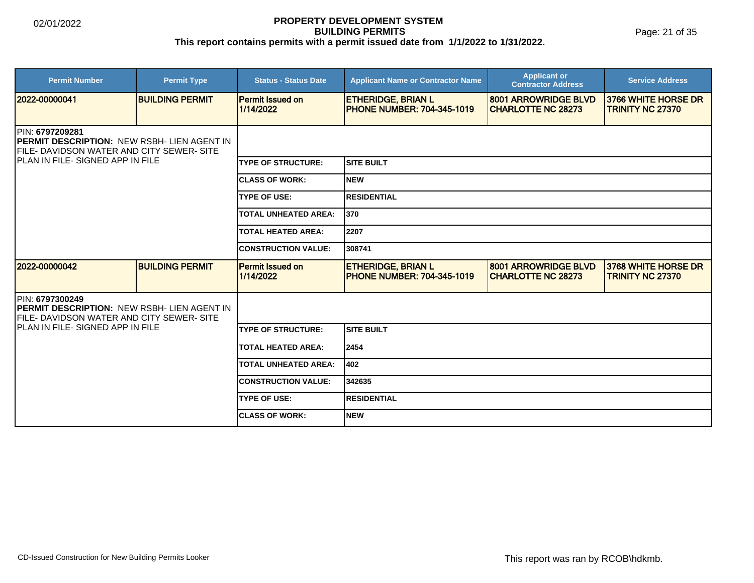Page: 21 of 35

| <b>Permit Number</b>                                                                                                        | <b>Permit Type</b>     | <b>Status - Status Date</b>          | <b>Applicant Name or Contractor Name</b>                       | <b>Applicant or</b><br><b>Contractor Address</b>  | <b>Service Address</b>                         |  |  |
|-----------------------------------------------------------------------------------------------------------------------------|------------------------|--------------------------------------|----------------------------------------------------------------|---------------------------------------------------|------------------------------------------------|--|--|
| 2022-00000041                                                                                                               | <b>BUILDING PERMIT</b> | <b>Permit Issued on</b><br>1/14/2022 | <b>ETHERIDGE, BRIAN L</b><br><b>PHONE NUMBER: 704-345-1019</b> | 8001 ARROWRIDGE BLVD<br><b>CHARLOTTE NC 28273</b> | 3766 WHITE HORSE DR<br><b>TRINITY NC 27370</b> |  |  |
| <b>IPIN: 6797209281</b><br><b>IPERMIT DESCRIPTION: NEW RSBH- LIEN AGENT IN</b><br>FILE- DAVIDSON WATER AND CITY SEWER- SITE |                        |                                      |                                                                |                                                   |                                                |  |  |
| <b>IPLAN IN FILE-SIGNED APP IN FILE</b>                                                                                     |                        | <b>TYPE OF STRUCTURE:</b>            | <b>SITE BUILT</b>                                              |                                                   |                                                |  |  |
|                                                                                                                             |                        | <b>CLASS OF WORK:</b>                | <b>NEW</b>                                                     |                                                   |                                                |  |  |
|                                                                                                                             |                        | <b>TYPE OF USE:</b>                  | <b>RESIDENTIAL</b>                                             |                                                   |                                                |  |  |
|                                                                                                                             |                        | <b>TOTAL UNHEATED AREA:</b>          | 370                                                            |                                                   |                                                |  |  |
|                                                                                                                             |                        | <b>TOTAL HEATED AREA:</b>            | 2207                                                           |                                                   |                                                |  |  |
|                                                                                                                             |                        | <b>CONSTRUCTION VALUE:</b>           | 308741                                                         |                                                   |                                                |  |  |
| 2022-00000042                                                                                                               | <b>BUILDING PERMIT</b> | Permit Issued on<br>1/14/2022        | <b>ETHERIDGE, BRIAN L</b><br><b>PHONE NUMBER: 704-345-1019</b> | 8001 ARROWRIDGE BLVD<br><b>CHARLOTTE NC 28273</b> | 3768 WHITE HORSE DR<br><b>TRINITY NC 27370</b> |  |  |
| PIN: 6797300249<br>PERMIT DESCRIPTION: NEW RSBH- LIEN AGENT IN<br>FILE- DAVIDSON WATER AND CITY SEWER- SITE                 |                        |                                      |                                                                |                                                   |                                                |  |  |
| IPLAN IN FILE- SIGNED APP IN FILE                                                                                           |                        | <b>TYPE OF STRUCTURE:</b>            | <b>SITE BUILT</b>                                              |                                                   |                                                |  |  |
|                                                                                                                             |                        | <b>TOTAL HEATED AREA:</b>            | 2454                                                           |                                                   |                                                |  |  |
|                                                                                                                             |                        | <b>TOTAL UNHEATED AREA:</b>          | 402                                                            |                                                   |                                                |  |  |
|                                                                                                                             |                        | <b>CONSTRUCTION VALUE:</b>           | 342635                                                         |                                                   |                                                |  |  |
|                                                                                                                             |                        | <b>TYPE OF USE:</b>                  | <b>RESIDENTIAL</b>                                             |                                                   |                                                |  |  |
|                                                                                                                             |                        | <b>ICLASS OF WORK:</b>               | <b>NEW</b>                                                     |                                                   |                                                |  |  |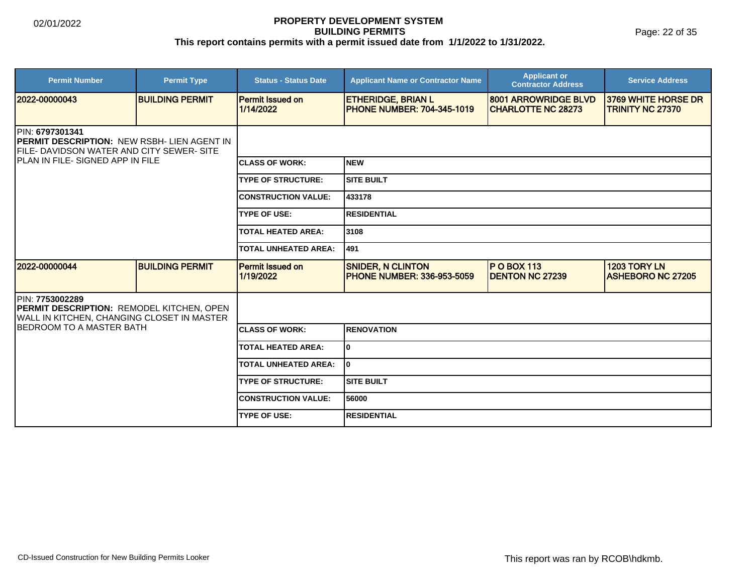Page: 22 of 35

| <b>Permit Number</b>                                                                                                                                           | <b>Permit Type</b>     | <b>Status - Status Date</b>          | <b>Applicant Name or Contractor Name</b>                       | <b>Applicant or</b><br><b>Contractor Address</b>  | <b>Service Address</b>                          |  |  |
|----------------------------------------------------------------------------------------------------------------------------------------------------------------|------------------------|--------------------------------------|----------------------------------------------------------------|---------------------------------------------------|-------------------------------------------------|--|--|
| 2022-00000043                                                                                                                                                  | <b>BUILDING PERMIT</b> | <b>Permit Issued on</b><br>1/14/2022 | <b>ETHERIDGE, BRIAN L</b><br><b>PHONE NUMBER: 704-345-1019</b> | 8001 ARROWRIDGE BLVD<br><b>CHARLOTTE NC 28273</b> | 3769 WHITE HORSE DR<br><b>TRINITY NC 27370</b>  |  |  |
| PIN: 6797301341<br>PERMIT DESCRIPTION: NEW RSBH- LIEN AGENT IN<br><b>IFILE- DAVIDSON WATER AND CITY SEWER- SITE</b><br><b>IPLAN IN FILE-SIGNED APP IN FILE</b> |                        |                                      |                                                                |                                                   |                                                 |  |  |
|                                                                                                                                                                |                        | <b>ICLASS OF WORK:</b>               | <b>NEW</b>                                                     |                                                   |                                                 |  |  |
|                                                                                                                                                                |                        | <b>TYPE OF STRUCTURE:</b>            | <b>SITE BUILT</b>                                              |                                                   |                                                 |  |  |
|                                                                                                                                                                |                        | <b>CONSTRUCTION VALUE:</b>           | 433178                                                         |                                                   |                                                 |  |  |
|                                                                                                                                                                |                        | <b>TYPE OF USE:</b>                  | <b>RESIDENTIAL</b>                                             |                                                   |                                                 |  |  |
|                                                                                                                                                                |                        | <b>TOTAL HEATED AREA:</b>            | 3108                                                           |                                                   |                                                 |  |  |
|                                                                                                                                                                |                        | <b>TOTAL UNHEATED AREA:</b>          | 491                                                            |                                                   |                                                 |  |  |
| 2022-00000044                                                                                                                                                  | <b>BUILDING PERMIT</b> | <b>Permit Issued on</b><br>1/19/2022 | <b>SNIDER, N CLINTON</b><br><b>PHONE NUMBER: 336-953-5059</b>  | $P$ O BOX 113<br><b>DENTON NC 27239</b>           | <b>1203 TORY LN</b><br><b>ASHEBORO NC 27205</b> |  |  |
| PIN: 7753002289<br>PERMIT DESCRIPTION: REMODEL KITCHEN, OPEN<br>WALL IN KITCHEN, CHANGING CLOSET IN MASTER                                                     |                        |                                      |                                                                |                                                   |                                                 |  |  |
| IBEDROOM TO A MASTER BATH                                                                                                                                      |                        | <b>ICLASS OF WORK:</b>               | <b>RENOVATION</b>                                              |                                                   |                                                 |  |  |
|                                                                                                                                                                |                        | <b>TOTAL HEATED AREA:</b>            | 0                                                              |                                                   |                                                 |  |  |
|                                                                                                                                                                |                        | <b>TOTAL UNHEATED AREA:</b>          | I٥                                                             |                                                   |                                                 |  |  |
|                                                                                                                                                                |                        | <b>TYPE OF STRUCTURE:</b>            | <b>SITE BUILT</b>                                              |                                                   |                                                 |  |  |
|                                                                                                                                                                |                        | <b>CONSTRUCTION VALUE:</b>           | 56000                                                          |                                                   |                                                 |  |  |
|                                                                                                                                                                |                        | <b>TYPE OF USE:</b>                  | <b>RESIDENTIAL</b>                                             |                                                   |                                                 |  |  |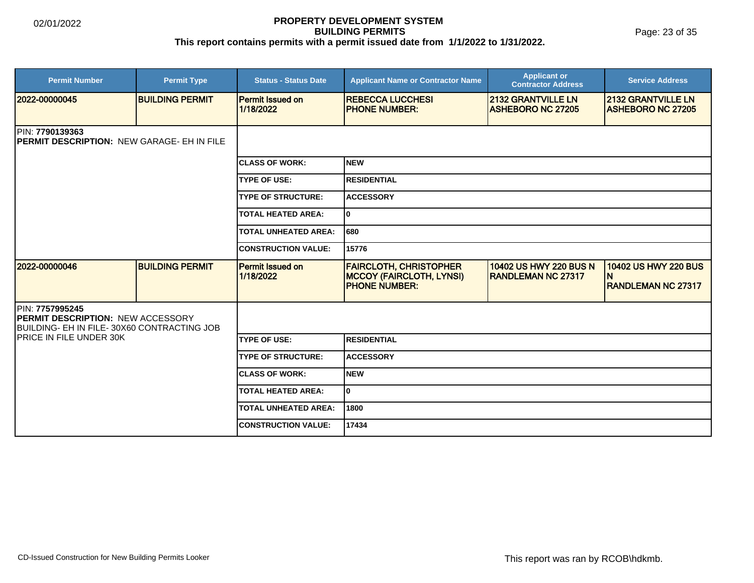Page: 23 of 35

| <b>Permit Number</b>                                                                                      | <b>Permit Type</b>     | <b>Status - Status Date</b>          | <b>Applicant Name or Contractor Name</b>                                                 | <b>Applicant or</b><br><b>Contractor Address</b>      | <b>Service Address</b>                                        |  |  |
|-----------------------------------------------------------------------------------------------------------|------------------------|--------------------------------------|------------------------------------------------------------------------------------------|-------------------------------------------------------|---------------------------------------------------------------|--|--|
| 2022-00000045                                                                                             | <b>BUILDING PERMIT</b> | <b>Permit Issued on</b><br>1/18/2022 | <b>REBECCA LUCCHESI</b><br><b>PHONE NUMBER:</b>                                          | <b>2132 GRANTVILLE LN</b><br><b>ASHEBORO NC 27205</b> | <b>2132 GRANTVILLE LN</b><br><b>ASHEBORO NC 27205</b>         |  |  |
| <b>IPIN: 7790139363</b><br><b>IPERMIT DESCRIPTION: NEW GARAGE- EH IN FILE</b>                             |                        |                                      |                                                                                          |                                                       |                                                               |  |  |
|                                                                                                           |                        | <b>ICLASS OF WORK:</b>               | <b>NEW</b>                                                                               |                                                       |                                                               |  |  |
|                                                                                                           |                        | <b>TYPE OF USE:</b>                  | <b>RESIDENTIAL</b>                                                                       |                                                       |                                                               |  |  |
|                                                                                                           |                        | <b>TYPE OF STRUCTURE:</b>            | <b>ACCESSORY</b>                                                                         |                                                       |                                                               |  |  |
|                                                                                                           |                        | <b>TOTAL HEATED AREA:</b>            | 0                                                                                        |                                                       |                                                               |  |  |
|                                                                                                           |                        | <b>TOTAL UNHEATED AREA:</b>          | 680                                                                                      |                                                       |                                                               |  |  |
|                                                                                                           |                        | <b>CONSTRUCTION VALUE:</b>           | 15776                                                                                    |                                                       |                                                               |  |  |
| 2022-00000046                                                                                             | <b>BUILDING PERMIT</b> | Permit Issued on<br>1/18/2022        | <b>FAIRCLOTH, CHRISTOPHER</b><br><b>MCCOY (FAIRCLOTH, LYNSI)</b><br><b>PHONE NUMBER:</b> | 10402 US HWY 220 BUS N<br><b>RANDLEMAN NC 27317</b>   | <b>10402 US HWY 220 BUS</b><br>N<br><b>RANDLEMAN NC 27317</b> |  |  |
| PIN: 7757995245<br><b>PERMIT DESCRIPTION: NEW ACCESSORY</b><br>BUILDING- EH IN FILE-30X60 CONTRACTING JOB |                        |                                      |                                                                                          |                                                       |                                                               |  |  |
| <b>IPRICE IN FILE UNDER 30K</b>                                                                           |                        | <b>TYPE OF USE:</b>                  | <b>RESIDENTIAL</b>                                                                       |                                                       |                                                               |  |  |
|                                                                                                           |                        | <b>TYPE OF STRUCTURE:</b>            | <b>ACCESSORY</b>                                                                         |                                                       |                                                               |  |  |
|                                                                                                           |                        | <b>CLASS OF WORK:</b>                | <b>NEW</b>                                                                               |                                                       |                                                               |  |  |
|                                                                                                           |                        | <b>TOTAL HEATED AREA:</b>            | 0                                                                                        |                                                       |                                                               |  |  |
|                                                                                                           |                        | <b>TOTAL UNHEATED AREA:</b>          | 1800                                                                                     |                                                       |                                                               |  |  |
|                                                                                                           |                        | <b>ICONSTRUCTION VALUE:</b>          | 17434                                                                                    |                                                       |                                                               |  |  |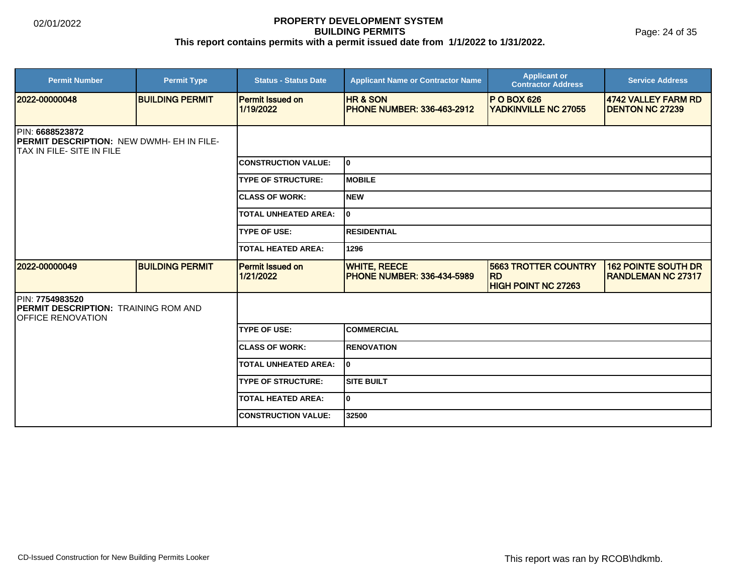Page: 24 of 35

| <b>Permit Number</b>                                                                               | <b>Permit Type</b>     | <b>Status - Status Date</b>          | <b>Applicant Name or Contractor Name</b>                 | <b>Applicant or</b><br><b>Contractor Address</b>                       | <b>Service Address</b>                                  |
|----------------------------------------------------------------------------------------------------|------------------------|--------------------------------------|----------------------------------------------------------|------------------------------------------------------------------------|---------------------------------------------------------|
| 2022-00000048                                                                                      | <b>BUILDING PERMIT</b> | <b>Permit Issued on</b><br>1/19/2022 | <b>HR &amp; SON</b><br><b>PHONE NUMBER: 336-463-2912</b> | <b>P O BOX 626</b><br><b>YADKINVILLE NC 27055</b>                      | 4742 VALLEY FARM RD<br><b>DENTON NC 27239</b>           |
| <b>IPIN: 6688523872</b><br>PERMIT DESCRIPTION: NEW DWMH- EH IN FILE-<br>ITAX IN FILE- SITE IN FILE |                        |                                      |                                                          |                                                                        |                                                         |
|                                                                                                    |                        | <b>CONSTRUCTION VALUE:</b>           | I٥                                                       |                                                                        |                                                         |
|                                                                                                    |                        | <b>TYPE OF STRUCTURE:</b>            | IMOBILE                                                  |                                                                        |                                                         |
|                                                                                                    |                        | <b>CLASS OF WORK:</b>                | <b>NEW</b>                                               |                                                                        |                                                         |
|                                                                                                    |                        | <b>TOTAL UNHEATED AREA:</b>          | I٥                                                       |                                                                        |                                                         |
|                                                                                                    |                        | <b>TYPE OF USE:</b>                  | <b>RESIDENTIAL</b>                                       |                                                                        |                                                         |
|                                                                                                    |                        | <b>TOTAL HEATED AREA:</b>            | 1296                                                     |                                                                        |                                                         |
| 12022-00000049                                                                                     | <b>BUILDING PERMIT</b> | <b>Permit Issued on</b><br>1/21/2022 | <b>WHITE, REECE</b><br><b>PHONE NUMBER: 336-434-5989</b> | <b>5663 TROTTER COUNTRY</b><br><b>RD</b><br><b>HIGH POINT NC 27263</b> | <b>162 POINTE SOUTH DR</b><br><b>RANDLEMAN NC 27317</b> |
| PIN: 7754983520<br><b>PERMIT DESCRIPTION: TRAINING ROM AND</b><br><b>IOFFICE RENOVATION</b>        |                        |                                      |                                                          |                                                                        |                                                         |
|                                                                                                    |                        | <b>TYPE OF USE:</b>                  | ICOMMERCIAL                                              |                                                                        |                                                         |
|                                                                                                    |                        | <b>CLASS OF WORK:</b>                | <b>RENOVATION</b>                                        |                                                                        |                                                         |
|                                                                                                    |                        | <b>TOTAL UNHEATED AREA:</b>          | I٥                                                       |                                                                        |                                                         |
|                                                                                                    |                        | <b>TYPE OF STRUCTURE:</b>            | <b>SITE BUILT</b>                                        |                                                                        |                                                         |
|                                                                                                    |                        | <b>TOTAL HEATED AREA:</b>            | lo.                                                      |                                                                        |                                                         |
|                                                                                                    |                        | <b>CONSTRUCTION VALUE:</b>           | 32500                                                    |                                                                        |                                                         |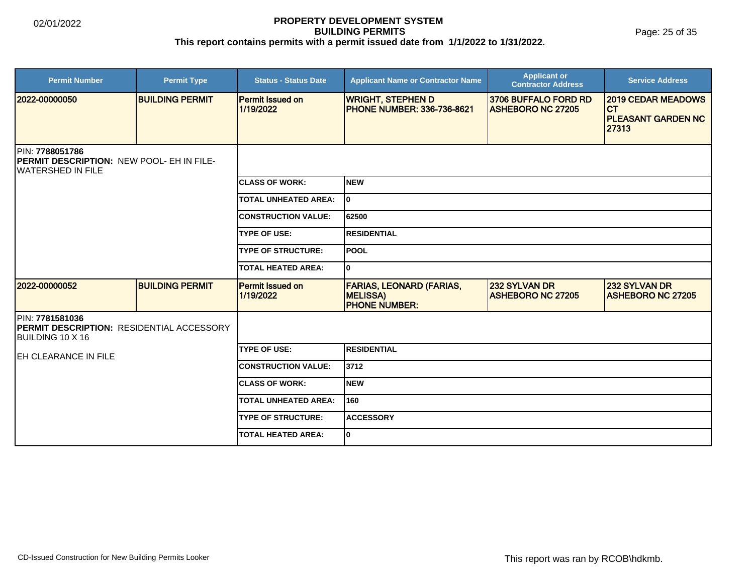Page: 25 of 35

| <b>Permit Number</b>                                                                              | <b>Permit Type</b>     | <b>Status - Status Date</b>          | <b>Applicant Name or Contractor Name</b>                                   | <b>Applicant or</b><br><b>Contractor Address</b> | <b>Service Address</b>                                                       |  |
|---------------------------------------------------------------------------------------------------|------------------------|--------------------------------------|----------------------------------------------------------------------------|--------------------------------------------------|------------------------------------------------------------------------------|--|
| 2022-00000050                                                                                     | <b>BUILDING PERMIT</b> | <b>Permit Issued on</b><br>1/19/2022 | <b>WRIGHT, STEPHEN D</b><br><b>PHONE NUMBER: 336-736-8621</b>              | 3706 BUFFALO FORD RD<br><b>ASHEBORO NC 27205</b> | <b>2019 CEDAR MEADOWS</b><br><b>CT</b><br><b>PLEASANT GARDEN NC</b><br>27313 |  |
| PIN: 7788051786<br><b>IPERMIT DESCRIPTION: NEW POOL- EH IN FILE-</b><br><b>IWATERSHED IN FILE</b> |                        |                                      |                                                                            |                                                  |                                                                              |  |
|                                                                                                   |                        | <b>CLASS OF WORK:</b>                | <b>NEW</b>                                                                 |                                                  |                                                                              |  |
|                                                                                                   |                        | <b>TOTAL UNHEATED AREA:</b>          | I٥                                                                         |                                                  |                                                                              |  |
|                                                                                                   |                        | <b>CONSTRUCTION VALUE:</b>           | 62500                                                                      |                                                  |                                                                              |  |
|                                                                                                   |                        | <b>TYPE OF USE:</b>                  | <b>RESIDENTIAL</b>                                                         |                                                  |                                                                              |  |
|                                                                                                   |                        | <b>TYPE OF STRUCTURE:</b>            | lpool                                                                      |                                                  |                                                                              |  |
|                                                                                                   |                        | <b>TOTAL HEATED AREA:</b>            | lo.                                                                        |                                                  |                                                                              |  |
| 2022-00000052                                                                                     | <b>BUILDING PERMIT</b> | <b>Permit Issued on</b><br>1/19/2022 | <b>FARIAS, LEONARD (FARIAS,</b><br><b>MELISSA)</b><br><b>PHONE NUMBER:</b> | 232 SYLVAN DR<br><b>ASHEBORO NC 27205</b>        | 232 SYLVAN DR<br><b>ASHEBORO NC 27205</b>                                    |  |
| PIN: 7781581036<br><b>IPERMIT DESCRIPTION: RESIDENTIAL ACCESSORY</b><br>BUILDING 10 X 16          |                        |                                      |                                                                            |                                                  |                                                                              |  |
| <b>IEH CLEARANCE IN FILE</b>                                                                      |                        | <b>TYPE OF USE:</b>                  | RESIDENTIAL                                                                |                                                  |                                                                              |  |
|                                                                                                   |                        | <b>CONSTRUCTION VALUE:</b>           | 3712                                                                       |                                                  |                                                                              |  |
|                                                                                                   |                        | <b>CLASS OF WORK:</b>                | <b>NEW</b>                                                                 |                                                  |                                                                              |  |
|                                                                                                   |                        | <b>TOTAL UNHEATED AREA:</b>          | 160                                                                        |                                                  |                                                                              |  |
|                                                                                                   |                        | <b>TYPE OF STRUCTURE:</b>            | <b>ACCESSORY</b>                                                           |                                                  |                                                                              |  |
|                                                                                                   |                        | <b>TOTAL HEATED AREA:</b>            | I٥                                                                         |                                                  |                                                                              |  |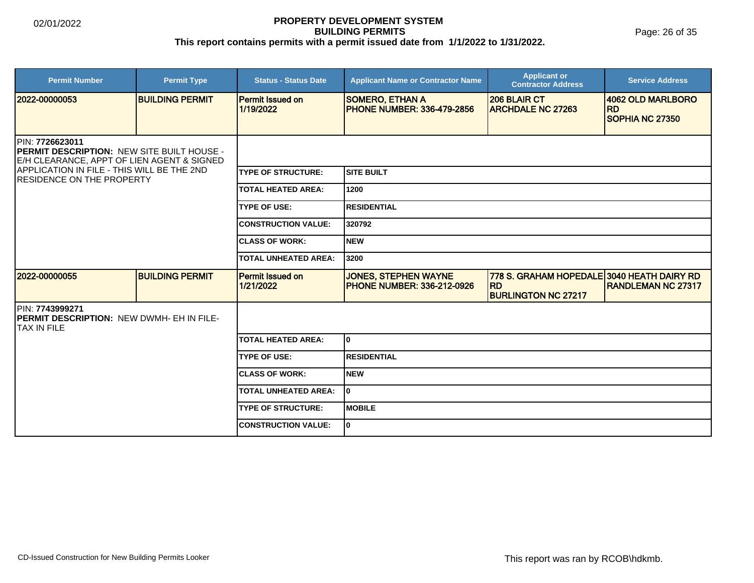Page: 26 of 35

| <b>Permit Number</b>                                                                                                                                                                                         | <b>Permit Type</b>     | <b>Status - Status Date</b>          | <b>Applicant Name or Contractor Name</b>                         | <b>Applicant or</b><br><b>Contractor Address</b>                                       | <b>Service Address</b>                            |  |
|--------------------------------------------------------------------------------------------------------------------------------------------------------------------------------------------------------------|------------------------|--------------------------------------|------------------------------------------------------------------|----------------------------------------------------------------------------------------|---------------------------------------------------|--|
| 2022-00000053                                                                                                                                                                                                | <b>BUILDING PERMIT</b> | <b>Permit Issued on</b><br>1/19/2022 | <b>SOMERO, ETHAN A</b><br><b>PHONE NUMBER: 336-479-2856</b>      | <b>206 BLAIR CT</b><br><b>ARCHDALE NC 27263</b>                                        | 4062 OLD MARLBORO<br><b>RD</b><br>SOPHIA NC 27350 |  |
| <b>IPIN: 7726623011</b><br><b>PERMIT DESCRIPTION: NEW SITE BUILT HOUSE -</b><br>E/H CLEARANCE, APPT OF LIEN AGENT & SIGNED<br>APPLICATION IN FILE - THIS WILL BE THE 2ND<br><b>RESIDENCE ON THE PROPERTY</b> |                        |                                      |                                                                  |                                                                                        |                                                   |  |
|                                                                                                                                                                                                              |                        | <b>TYPE OF STRUCTURE:</b>            | Isite built                                                      |                                                                                        |                                                   |  |
|                                                                                                                                                                                                              |                        | <b>TOTAL HEATED AREA:</b>            | 1200                                                             |                                                                                        |                                                   |  |
|                                                                                                                                                                                                              |                        | <b>TYPE OF USE:</b>                  | <b>IRESIDENTIAL</b>                                              |                                                                                        |                                                   |  |
|                                                                                                                                                                                                              |                        | <b>CONSTRUCTION VALUE:</b>           | 320792                                                           |                                                                                        |                                                   |  |
|                                                                                                                                                                                                              |                        | <b>CLASS OF WORK:</b>                | INEW                                                             |                                                                                        |                                                   |  |
|                                                                                                                                                                                                              |                        | <b>TOTAL UNHEATED AREA:</b>          | 3200                                                             |                                                                                        |                                                   |  |
| 2022-00000055                                                                                                                                                                                                | <b>BUILDING PERMIT</b> | <b>Permit Issued on</b><br>1/21/2022 | <b>JONES, STEPHEN WAYNE</b><br><b>PHONE NUMBER: 336-212-0926</b> | 778 S. GRAHAM HOPEDALE 3040 HEATH DAIRY RD<br><b>IRD</b><br><b>BURLINGTON NC 27217</b> | <b>RANDLEMAN NC 27317</b>                         |  |
| <b>IPIN: 7743999271</b><br><b>PERMIT DESCRIPTION: NEW DWMH- EH IN FILE-</b><br>ITAX IN FILE                                                                                                                  |                        |                                      |                                                                  |                                                                                        |                                                   |  |
|                                                                                                                                                                                                              |                        | <b>TOTAL HEATED AREA:</b>            | I٥                                                               |                                                                                        |                                                   |  |
|                                                                                                                                                                                                              |                        | <b>TYPE OF USE:</b>                  | <b>RESIDENTIAL</b>                                               |                                                                                        |                                                   |  |
|                                                                                                                                                                                                              |                        | <b>CLASS OF WORK:</b>                | INEW                                                             |                                                                                        |                                                   |  |
|                                                                                                                                                                                                              |                        | <b>TOTAL UNHEATED AREA:</b>          | I٥                                                               |                                                                                        |                                                   |  |
|                                                                                                                                                                                                              |                        | <b>TYPE OF STRUCTURE:</b>            | IMOBILE                                                          |                                                                                        |                                                   |  |
|                                                                                                                                                                                                              |                        | <b>CONSTRUCTION VALUE:</b>           | I٥                                                               |                                                                                        |                                                   |  |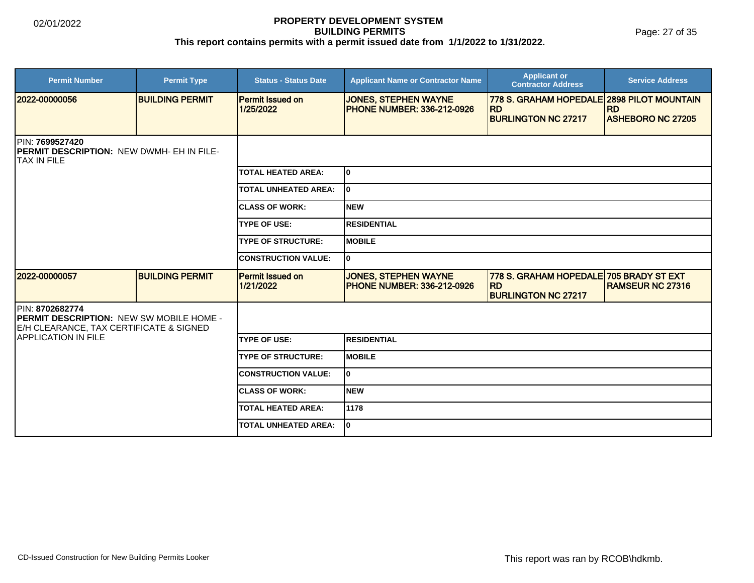Page: 27 of 35

| <b>Permit Number</b>                                                                                          | <b>Permit Type</b>     | <b>Status - Status Date</b>          | <b>Applicant Name or Contractor Name</b>                         | <b>Applicant or</b><br><b>Contractor Address</b>                                    | <b>Service Address</b>   |  |
|---------------------------------------------------------------------------------------------------------------|------------------------|--------------------------------------|------------------------------------------------------------------|-------------------------------------------------------------------------------------|--------------------------|--|
| 2022-00000056                                                                                                 | <b>BUILDING PERMIT</b> | <b>Permit Issued on</b><br>1/25/2022 | <b>JONES, STEPHEN WAYNE</b><br><b>PHONE NUMBER: 336-212-0926</b> | 778 S. GRAHAM HOPEDALE 2898 PILOT MOUNTAIN<br><b>RD</b>                             | <b>RD</b>                |  |
|                                                                                                               |                        |                                      |                                                                  | <b>BURLINGTON NC 27217</b>                                                          | <b>ASHEBORO NC 27205</b> |  |
| PIN: 7699527420<br><b>PERMIT DESCRIPTION: NEW DWMH- EH IN FILE-</b><br>ITAX IN FILE                           |                        |                                      |                                                                  |                                                                                     |                          |  |
|                                                                                                               |                        | <b>TOTAL HEATED AREA:</b>            | I٥                                                               |                                                                                     |                          |  |
|                                                                                                               |                        | <b>TOTAL UNHEATED AREA:</b>          | I٥                                                               |                                                                                     |                          |  |
|                                                                                                               |                        | <b>CLASS OF WORK:</b>                | Inew                                                             |                                                                                     |                          |  |
|                                                                                                               |                        | <b>TYPE OF USE:</b>                  | <b>IRESIDENTIAL</b>                                              |                                                                                     |                          |  |
|                                                                                                               |                        | <b>TYPE OF STRUCTURE:</b>            | <b>MOBILE</b>                                                    |                                                                                     |                          |  |
|                                                                                                               |                        | <b>CONSTRUCTION VALUE:</b>           | I٥                                                               |                                                                                     |                          |  |
| 2022-00000057                                                                                                 | <b>BUILDING PERMIT</b> | <b>Permit Issued on</b><br>1/21/2022 | <b>JONES, STEPHEN WAYNE</b><br><b>PHONE NUMBER: 336-212-0926</b> | 778 S. GRAHAM HOPEDALE 705 BRADY ST EXT<br><b>IRD</b><br><b>BURLINGTON NC 27217</b> | <b>RAMSEUR NC 27316</b>  |  |
| PIN: 8702682774<br><b>PERMIT DESCRIPTION: NEW SW MOBILE HOME -</b><br>E/H CLEARANCE, TAX CERTIFICATE & SIGNED |                        |                                      |                                                                  |                                                                                     |                          |  |
| <b>APPLICATION IN FILE</b>                                                                                    |                        | <b>TYPE OF USE:</b>                  | <b>RESIDENTIAL</b>                                               |                                                                                     |                          |  |
|                                                                                                               |                        | <b>TYPE OF STRUCTURE:</b>            | <b>MOBILE</b>                                                    |                                                                                     |                          |  |
|                                                                                                               |                        | <b>CONSTRUCTION VALUE:</b>           | I٥                                                               |                                                                                     |                          |  |
|                                                                                                               |                        | <b>CLASS OF WORK:</b>                | Inew                                                             |                                                                                     |                          |  |
|                                                                                                               |                        | <b>TOTAL HEATED AREA:</b>            | 1178                                                             |                                                                                     |                          |  |
|                                                                                                               |                        | <b>TOTAL UNHEATED AREA:</b>          | I٥                                                               |                                                                                     |                          |  |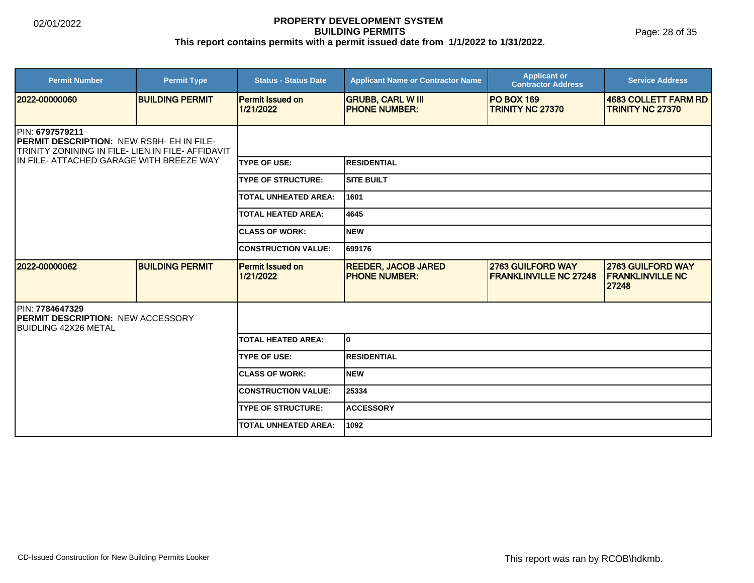Page: 28 of 35

| <b>Permit Number</b>                                                                                                                                                  | <b>Permit Type</b>     | <b>Status - Status Date</b>          | <b>Applicant Name or Contractor Name</b>            | <b>Applicant or</b><br><b>Contractor Address</b>   | <b>Service Address</b>                                |
|-----------------------------------------------------------------------------------------------------------------------------------------------------------------------|------------------------|--------------------------------------|-----------------------------------------------------|----------------------------------------------------|-------------------------------------------------------|
| 2022-00000060                                                                                                                                                         | <b>BUILDING PERMIT</b> | <b>Permit Issued on</b><br>1/21/2022 | <b>GRUBB, CARL W III</b><br><b>PHONE NUMBER:</b>    | <b>PO BOX 169</b><br><b>TRINITY NC 27370</b>       | 4683 COLLETT FARM RD<br><b>TRINITY NC 27370</b>       |
| PIN: 6797579211<br><b>PERMIT DESCRIPTION: NEW RSBH- EH IN FILE-</b><br>TRINITY ZONINING IN FILE- LIEN IN FILE- AFFIDAVIT<br>IIN FILE- ATTACHED GARAGE WITH BREEZE WAY |                        |                                      |                                                     |                                                    |                                                       |
|                                                                                                                                                                       |                        | <b>TYPE OF USE:</b>                  | IRESIDENTIAL                                        |                                                    |                                                       |
|                                                                                                                                                                       |                        | <b>TYPE OF STRUCTURE:</b>            | <b>SITE BUILT</b>                                   |                                                    |                                                       |
|                                                                                                                                                                       |                        | <b>TOTAL UNHEATED AREA:</b>          | 1601                                                |                                                    |                                                       |
|                                                                                                                                                                       |                        | <b>TOTAL HEATED AREA:</b>            | 4645                                                |                                                    |                                                       |
|                                                                                                                                                                       |                        | <b>CLASS OF WORK:</b>                | Inew                                                |                                                    |                                                       |
|                                                                                                                                                                       |                        | <b>CONSTRUCTION VALUE:</b>           | 699176                                              |                                                    |                                                       |
| 2022-00000062                                                                                                                                                         | <b>BUILDING PERMIT</b> | <b>Permit Issued on</b><br>1/21/2022 | <b>REEDER, JACOB JARED</b><br><b>IPHONE NUMBER:</b> | 2763 GUILFORD WAY<br><b>FRANKLINVILLE NC 27248</b> | 2763 GUILFORD WAY<br><b>FRANKLINVILLE NC</b><br>27248 |
| <b>IPIN: 7784647329</b><br><b>IPERMIT DESCRIPTION: NEW ACCESSORY</b><br><b>IBUIDLING 42X26 METAL</b>                                                                  |                        |                                      |                                                     |                                                    |                                                       |
|                                                                                                                                                                       |                        | <b>TOTAL HEATED AREA:</b>            | I٥                                                  |                                                    |                                                       |
|                                                                                                                                                                       |                        | <b>TYPE OF USE:</b>                  | <b>RESIDENTIAL</b>                                  |                                                    |                                                       |
|                                                                                                                                                                       |                        | <b>CLASS OF WORK:</b>                | Inew                                                |                                                    |                                                       |
|                                                                                                                                                                       |                        | <b>CONSTRUCTION VALUE:</b>           | 25334                                               |                                                    |                                                       |
|                                                                                                                                                                       |                        | <b>TYPE OF STRUCTURE:</b>            | <b>ACCESSORY</b>                                    |                                                    |                                                       |
|                                                                                                                                                                       |                        | <b>TOTAL UNHEATED AREA:</b>          | 1092                                                |                                                    |                                                       |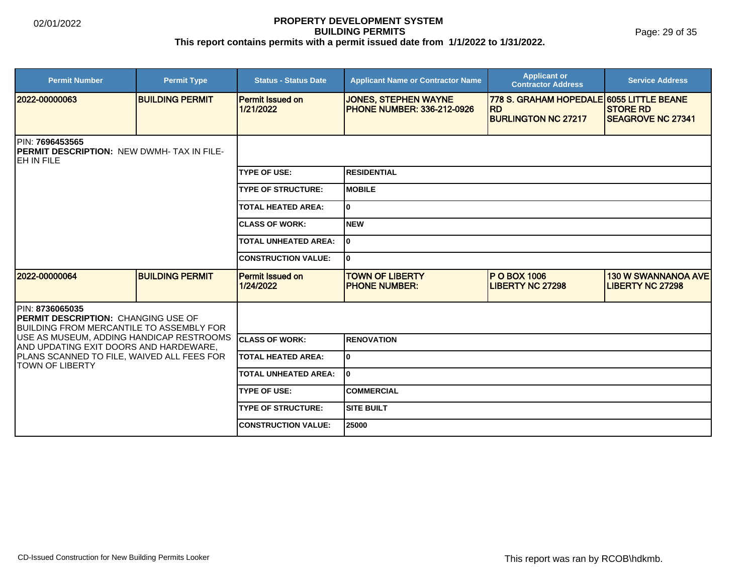Page: 29 of 35

| <b>Permit Number</b>                                                                                               | <b>Permit Type</b>     | <b>Status - Status Date</b>          | <b>Applicant Name or Contractor Name</b>                          | <b>Applicant or</b><br><b>Contractor Address</b>      | <b>Service Address</b>                                |  |
|--------------------------------------------------------------------------------------------------------------------|------------------------|--------------------------------------|-------------------------------------------------------------------|-------------------------------------------------------|-------------------------------------------------------|--|
| 12022-00000063                                                                                                     | <b>BUILDING PERMIT</b> | <b>Permit Issued on</b><br>1/21/2022 | <b>JONES, STEPHEN WAYNE</b><br><b>IPHONE NUMBER: 336-212-0926</b> | 778 S. GRAHAM HOPEDALE 6055 LITTLE BEANE<br><b>RD</b> | <b>STORE RD</b>                                       |  |
|                                                                                                                    |                        |                                      |                                                                   | <b>BURLINGTON NC 27217</b>                            | <b>ISEAGROVE NC 27341</b>                             |  |
| PIN: 7696453565<br><b>IPERMIT DESCRIPTION: NEW DWMH- TAX IN FILE-</b><br>IEH IN FILE                               |                        |                                      |                                                                   |                                                       |                                                       |  |
|                                                                                                                    |                        | <b>TYPE OF USE:</b>                  | IRESIDENTIAL                                                      |                                                       |                                                       |  |
|                                                                                                                    |                        | <b>TYPE OF STRUCTURE:</b>            | <b>IMOBILE</b>                                                    |                                                       |                                                       |  |
|                                                                                                                    |                        | <b>TOTAL HEATED AREA:</b>            | I٥                                                                |                                                       |                                                       |  |
|                                                                                                                    |                        | <b>ICLASS OF WORK:</b>               | Inew                                                              |                                                       |                                                       |  |
|                                                                                                                    |                        | <b>TOTAL UNHEATED AREA:</b>          | l0                                                                |                                                       |                                                       |  |
|                                                                                                                    |                        | <b>CONSTRUCTION VALUE:</b>           | I٥                                                                |                                                       |                                                       |  |
| 12022-00000064                                                                                                     | <b>BUILDING PERMIT</b> | <b>Permit Issued on</b><br>1/24/2022 | <b>TOWN OF LIBERTY</b><br><b>PHONE NUMBER:</b>                    | <b>P O BOX 1006</b><br><b>LIBERTY NC 27298</b>        | <b>130 W SWANNANOA AVE</b><br><b>LIBERTY NC 27298</b> |  |
| <b>IPIN: 8736065035</b><br><b>IPERMIT DESCRIPTION: CHANGING USE OF</b><br>BUILDING FROM MERCANTILE TO ASSEMBLY FOR |                        |                                      |                                                                   |                                                       |                                                       |  |
| <b> USE AS MUSEUM, ADDING HANDICAP RESTROOMS</b><br>IAND UPDATING EXIT DOORS AND HARDEWARE.                        |                        | <b>ICLASS OF WORK:</b>               | IRENOVATION                                                       |                                                       |                                                       |  |
| PLANS SCANNED TO FILE, WAIVED ALL FEES FOR<br><b>TOWN OF LIBERTY</b>                                               |                        | <b>ITOTAL HEATED AREA:</b>           | I٥                                                                |                                                       |                                                       |  |
|                                                                                                                    |                        | <b>TOTAL UNHEATED AREA:</b>          | I٥                                                                |                                                       |                                                       |  |
|                                                                                                                    |                        | <b>TYPE OF USE:</b>                  | ICOMMERCIAL                                                       |                                                       |                                                       |  |
|                                                                                                                    |                        | <b>TYPE OF STRUCTURE:</b>            | <b>SITE BUILT</b>                                                 |                                                       |                                                       |  |
|                                                                                                                    |                        | <b>CONSTRUCTION VALUE:</b>           | 25000                                                             |                                                       |                                                       |  |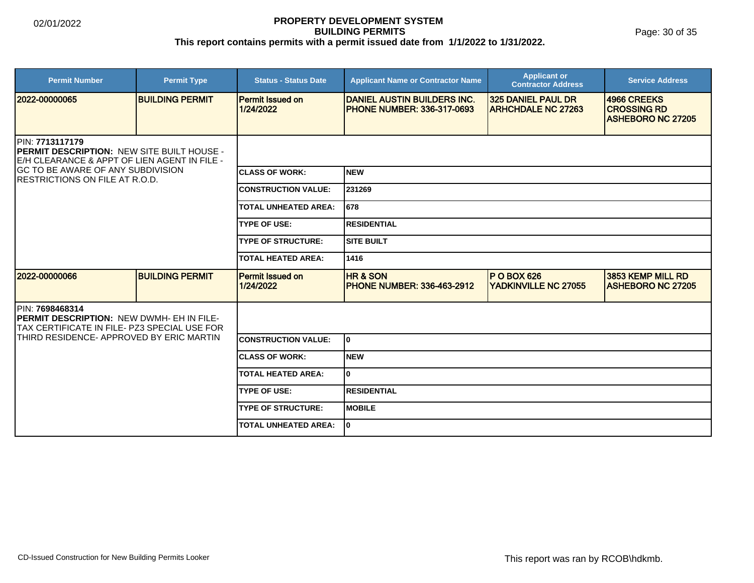Page: 30 of 35

| <b>Permit Number</b>                                                                                                          | <b>Permit Type</b>     | <b>Status - Status Date</b>          | <b>Applicant Name or Contractor Name</b>                                  | <b>Applicant or</b><br><b>Contractor Address</b>       | <b>Service Address</b>                                        |  |
|-------------------------------------------------------------------------------------------------------------------------------|------------------------|--------------------------------------|---------------------------------------------------------------------------|--------------------------------------------------------|---------------------------------------------------------------|--|
| 2022-00000065                                                                                                                 | <b>BUILDING PERMIT</b> | <b>Permit Issued on</b><br>1/24/2022 | <b>IDANIEL AUSTIN BUILDERS INC.</b><br><b>IPHONE NUMBER: 336-317-0693</b> | <b>325 DANIEL PAUL DR</b><br><b>ARHCHDALE NC 27263</b> | 4966 CREEKS<br><b>CROSSING RD</b><br><b>ASHEBORO NC 27205</b> |  |
| <b>IPIN: 7713117179</b><br><b>PERMIT DESCRIPTION: NEW SITE BUILT HOUSE -</b><br>E/H CLEARANCE & APPT OF LIEN AGENT IN FILE -  |                        |                                      |                                                                           |                                                        |                                                               |  |
| <b>GC TO BE AWARE OF ANY SUBDIVISION</b><br><b>RESTRICTIONS ON FILE AT R.O.D.</b>                                             |                        | <b>ICLASS OF WORK:</b>               | <b>NEW</b>                                                                |                                                        |                                                               |  |
|                                                                                                                               |                        | <b>CONSTRUCTION VALUE:</b>           | 231269                                                                    |                                                        |                                                               |  |
|                                                                                                                               |                        | <b>TOTAL UNHEATED AREA:</b>          | 678                                                                       |                                                        |                                                               |  |
|                                                                                                                               |                        | <b>TYPE OF USE:</b>                  | <b>RESIDENTIAL</b>                                                        |                                                        |                                                               |  |
|                                                                                                                               |                        | <b>TYPE OF STRUCTURE:</b>            | <b>SITE BUILT</b>                                                         |                                                        |                                                               |  |
|                                                                                                                               |                        | <b>TOTAL HEATED AREA:</b>            | 1416                                                                      |                                                        |                                                               |  |
| 2022-00000066                                                                                                                 | <b>BUILDING PERMIT</b> | <b>Permit Issued on</b><br>1/24/2022 | <b>HR &amp; SON</b><br><b>PHONE NUMBER: 336-463-2912</b>                  | <b>P O BOX 626</b><br>YADKINVILLE NC 27055             | 3853 KEMP MILL RD<br><b>IASHEBORO NC 27205</b>                |  |
| <b>IPIN: 7698468314</b><br><b>IPERMIT DESCRIPTION: NEW DWMH- EH IN FILE-</b><br>ITAX CERTIFICATE IN FILE- PZ3 SPECIAL USE FOR |                        |                                      |                                                                           |                                                        |                                                               |  |
| ITHIRD RESIDENCE- APPROVED BY ERIC MARTIN                                                                                     |                        | <b>CONSTRUCTION VALUE:</b>           | lo.                                                                       |                                                        |                                                               |  |
|                                                                                                                               |                        | <b>CLASS OF WORK:</b>                | <b>NEW</b>                                                                |                                                        |                                                               |  |
|                                                                                                                               |                        | <b>TOTAL HEATED AREA:</b>            | I٥                                                                        |                                                        |                                                               |  |
|                                                                                                                               |                        | <b>TYPE OF USE:</b>                  | RESIDENTIAL                                                               |                                                        |                                                               |  |
|                                                                                                                               |                        | <b>TYPE OF STRUCTURE:</b>            | <b>MOBILE</b>                                                             |                                                        |                                                               |  |
|                                                                                                                               |                        | <b>TOTAL UNHEATED AREA:</b>          | I٥                                                                        |                                                        |                                                               |  |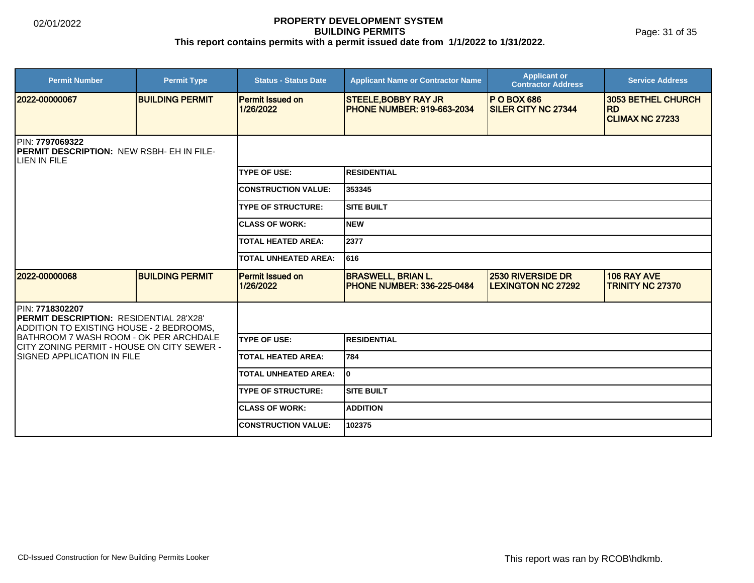Page: 31 of 35

| <b>Permit Number</b>                                                                                   | <b>Permit Type</b>     | <b>Status - Status Date</b>          | <b>Applicant Name or Contractor Name</b>                         | <b>Applicant or</b><br><b>Contractor Address</b>      | <b>Service Address</b>                 |  |
|--------------------------------------------------------------------------------------------------------|------------------------|--------------------------------------|------------------------------------------------------------------|-------------------------------------------------------|----------------------------------------|--|
| 2022-00000067                                                                                          | <b>BUILDING PERMIT</b> | <b>Permit Issued on</b><br>1/26/2022 | <b>STEELE, BOBBY RAY JR</b><br><b>PHONE NUMBER: 919-663-2034</b> | <b>P O BOX 686</b><br><b>SILER CITY NC 27344</b>      | 3053 BETHEL CHURCH<br><b>RD</b>        |  |
|                                                                                                        |                        |                                      |                                                                  |                                                       | <b>ICLIMAX NC 27233</b>                |  |
| PIN: 7797069322<br><b>IPERMIT DESCRIPTION: NEW RSBH- EH IN FILE-</b><br>LIEN IN FILE                   |                        |                                      |                                                                  |                                                       |                                        |  |
|                                                                                                        |                        | <b>TYPE OF USE:</b>                  | RESIDENTIAL                                                      |                                                       |                                        |  |
|                                                                                                        |                        | <b>CONSTRUCTION VALUE:</b>           | 353345                                                           |                                                       |                                        |  |
|                                                                                                        |                        | <b>TYPE OF STRUCTURE:</b>            | ISITE BUILT                                                      |                                                       |                                        |  |
|                                                                                                        |                        | <b>ICLASS OF WORK:</b>               | Inew                                                             |                                                       |                                        |  |
|                                                                                                        |                        |                                      | 2377                                                             |                                                       |                                        |  |
|                                                                                                        |                        | <b>TOTAL UNHEATED AREA:</b>          | 1616                                                             |                                                       |                                        |  |
| 2022-00000068                                                                                          | <b>BUILDING PERMIT</b> | <b>Permit Issued on</b><br>1/26/2022 | <b>BRASWELL, BRIAN L.</b><br><b>PHONE NUMBER: 336-225-0484</b>   | <b>2530 RIVERSIDE DR</b><br><b>LEXINGTON NC 27292</b> | 106 RAY AVE<br><b>TRINITY NC 27370</b> |  |
| PIN: 7718302207<br>PERMIT DESCRIPTION: RESIDENTIAL 28'X28'<br>ADDITION TO EXISTING HOUSE - 2 BEDROOMS, |                        |                                      |                                                                  |                                                       |                                        |  |
| IBATHROOM 7 WASH ROOM - OK PER ARCHDALE<br>CITY ZONING PERMIT - HOUSE ON CITY SEWER -                  |                        | <b>ITYPE OF USE:</b>                 | IRESIDENTIAL                                                     |                                                       |                                        |  |
| <b>ISIGNED APPLICATION IN FILE</b>                                                                     |                        | <b>TOTAL HEATED AREA:</b>            | 784                                                              |                                                       |                                        |  |
|                                                                                                        |                        | <b>TOTAL UNHEATED AREA:</b>          | I٥                                                               |                                                       |                                        |  |
|                                                                                                        |                        | <b>TYPE OF STRUCTURE:</b>            | Isite built                                                      |                                                       |                                        |  |
|                                                                                                        |                        | <b>ICLASS OF WORK:</b>               | <b>ADDITION</b>                                                  |                                                       |                                        |  |
|                                                                                                        |                        | <b>CONSTRUCTION VALUE:</b>           | 102375                                                           |                                                       |                                        |  |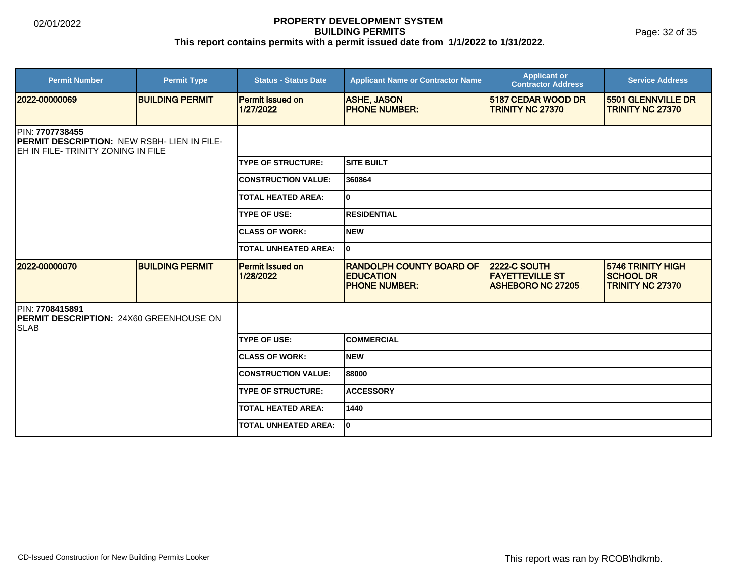| <b>Permit Number</b>                                                                                      | <b>Permit Type</b>     | <b>Status - Status Date</b>          | <b>Applicant Name or Contractor Name</b>                                    | <b>Applicant or</b><br><b>Contractor Address</b>                          | <b>Service Address</b>                                                  |  |
|-----------------------------------------------------------------------------------------------------------|------------------------|--------------------------------------|-----------------------------------------------------------------------------|---------------------------------------------------------------------------|-------------------------------------------------------------------------|--|
| 2022-00000069                                                                                             | <b>BUILDING PERMIT</b> | <b>Permit Issued on</b><br>1/27/2022 | <b>ASHE, JASON</b><br><b>PHONE NUMBER:</b>                                  | <b>5187 CEDAR WOOD DR</b><br><b>TRINITY NC 27370</b>                      | <b>5501 GLENNVILLE DR</b><br><b>TRINITY NC 27370</b>                    |  |
| PIN: 7707738455<br><b>PERMIT DESCRIPTION: NEW RSBH-LIEN IN FILE-</b><br>EH IN FILE-TRINITY ZONING IN FILE |                        |                                      |                                                                             |                                                                           |                                                                         |  |
|                                                                                                           |                        | <b>TYPE OF STRUCTURE:</b>            | <b>SITE BUILT</b>                                                           |                                                                           |                                                                         |  |
|                                                                                                           |                        | <b>CONSTRUCTION VALUE:</b>           | 360864                                                                      |                                                                           |                                                                         |  |
|                                                                                                           |                        | <b>TOTAL HEATED AREA:</b>            | 0                                                                           |                                                                           |                                                                         |  |
|                                                                                                           |                        | <b>TYPE OF USE:</b>                  | <b>RESIDENTIAL</b>                                                          |                                                                           |                                                                         |  |
|                                                                                                           |                        | <b>CLASS OF WORK:</b>                | <b>NEW</b>                                                                  |                                                                           |                                                                         |  |
|                                                                                                           |                        | <b>TOTAL UNHEATED AREA:</b>          | 0                                                                           |                                                                           |                                                                         |  |
| 2022-00000070                                                                                             | <b>BUILDING PERMIT</b> | <b>Permit Issued on</b><br>1/28/2022 | <b>RANDOLPH COUNTY BOARD OF</b><br><b>EDUCATION</b><br><b>PHONE NUMBER:</b> | <b>2222-C SOUTH</b><br><b>FAYETTEVILLE ST</b><br><b>ASHEBORO NC 27205</b> | <b>5746 TRINITY HIGH</b><br><b>SCHOOL DR</b><br><b>TRINITY NC 27370</b> |  |
| PIN: 7708415891<br><b>IPERMIT DESCRIPTION: 24X60 GREENHOUSE ON</b><br><b>SLAB</b>                         |                        |                                      |                                                                             |                                                                           |                                                                         |  |
|                                                                                                           |                        | <b>TYPE OF USE:</b>                  | <b>COMMERCIAL</b>                                                           |                                                                           |                                                                         |  |
|                                                                                                           |                        | <b>ICLASS OF WORK:</b>               | <b>NEW</b>                                                                  |                                                                           |                                                                         |  |
|                                                                                                           |                        | <b>CONSTRUCTION VALUE:</b>           | 88000                                                                       |                                                                           |                                                                         |  |
|                                                                                                           |                        | <b>TYPE OF STRUCTURE:</b>            | <b>ACCESSORY</b>                                                            |                                                                           |                                                                         |  |
|                                                                                                           |                        | <b>TOTAL HEATED AREA:</b>            | 1440                                                                        |                                                                           |                                                                         |  |
|                                                                                                           |                        | <b>TOTAL UNHEATED AREA:</b>          | 0                                                                           |                                                                           |                                                                         |  |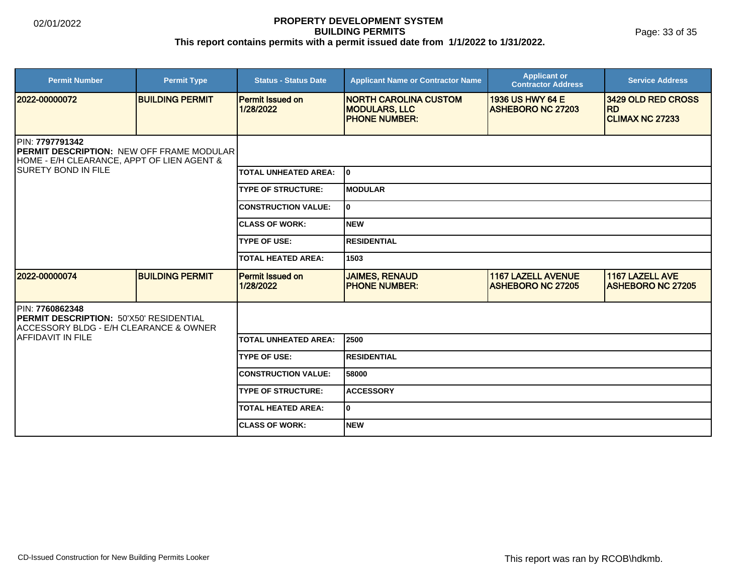Page: 33 of 35

| <b>Permit Number</b>                                                                                              | <b>Permit Type</b>     | <b>Status - Status Date</b>          | <b>Applicant Name or Contractor Name</b>                                      | <b>Applicant or</b><br><b>Contractor Address</b>      | <b>Service Address</b>                                    |  |
|-------------------------------------------------------------------------------------------------------------------|------------------------|--------------------------------------|-------------------------------------------------------------------------------|-------------------------------------------------------|-----------------------------------------------------------|--|
| 2022-00000072                                                                                                     | <b>BUILDING PERMIT</b> | <b>Permit Issued on</b><br>1/28/2022 | <b>INORTH CAROLINA CUSTOM</b><br><b>MODULARS, LLC</b><br><b>PHONE NUMBER:</b> | 1936 US HWY 64 E<br><b>ASHEBORO NC 27203</b>          | 3429 OLD RED CROSS<br><b>RD</b><br><b>CLIMAX NC 27233</b> |  |
| PIN: 7797791342<br><b>PERMIT DESCRIPTION: NEW OFF FRAME MODULAR</b><br>HOME - E/H CLEARANCE, APPT OF LIEN AGENT & |                        |                                      |                                                                               |                                                       |                                                           |  |
| <b>ISURETY BOND IN FILE</b>                                                                                       |                        | <b>TOTAL UNHEATED AREA:</b>          | l0                                                                            |                                                       |                                                           |  |
|                                                                                                                   |                        | <b>TYPE OF STRUCTURE:</b>            | IMODULAR                                                                      |                                                       |                                                           |  |
|                                                                                                                   |                        | <b>CONSTRUCTION VALUE:</b>           | lo.                                                                           |                                                       |                                                           |  |
|                                                                                                                   |                        | <b>CLASS OF WORK:</b>                | Inew                                                                          |                                                       |                                                           |  |
|                                                                                                                   |                        | <b>TYPE OF USE:</b>                  | <b>RESIDENTIAL</b>                                                            |                                                       |                                                           |  |
|                                                                                                                   |                        | <b>TOTAL HEATED AREA:</b>            | 1503                                                                          |                                                       |                                                           |  |
| 2022-00000074                                                                                                     | <b>BUILDING PERMIT</b> | <b>Permit Issued on</b><br>1/28/2022 | <b>JAIMES, RENAUD</b><br><b>IPHONE NUMBER:</b>                                | <b>1167 LAZELL AVENUE</b><br><b>ASHEBORO NC 27205</b> | 1167 LAZELL AVE<br><b>IASHEBORO NC 27205</b>              |  |
| PIN: 7760862348<br><b>PERMIT DESCRIPTION: 50'X50' RESIDENTIAL</b><br>ACCESSORY BLDG - E/H CLEARANCE & OWNER       |                        |                                      |                                                                               |                                                       |                                                           |  |
| <b>IAFFIDAVIT IN FILE</b>                                                                                         |                        | <b>TOTAL UNHEATED AREA:</b>          | 2500                                                                          |                                                       |                                                           |  |
|                                                                                                                   |                        | <b>TYPE OF USE:</b>                  | <b>RESIDENTIAL</b>                                                            |                                                       |                                                           |  |
|                                                                                                                   |                        | <b>CONSTRUCTION VALUE:</b>           | 58000                                                                         |                                                       |                                                           |  |
|                                                                                                                   |                        | <b>TYPE OF STRUCTURE:</b>            | <b>ACCESSORY</b>                                                              |                                                       |                                                           |  |
|                                                                                                                   |                        | <b>TOTAL HEATED AREA:</b>            | lo.                                                                           |                                                       |                                                           |  |
|                                                                                                                   |                        | <b>ICLASS OF WORK:</b>               | <b>NEW</b>                                                                    |                                                       |                                                           |  |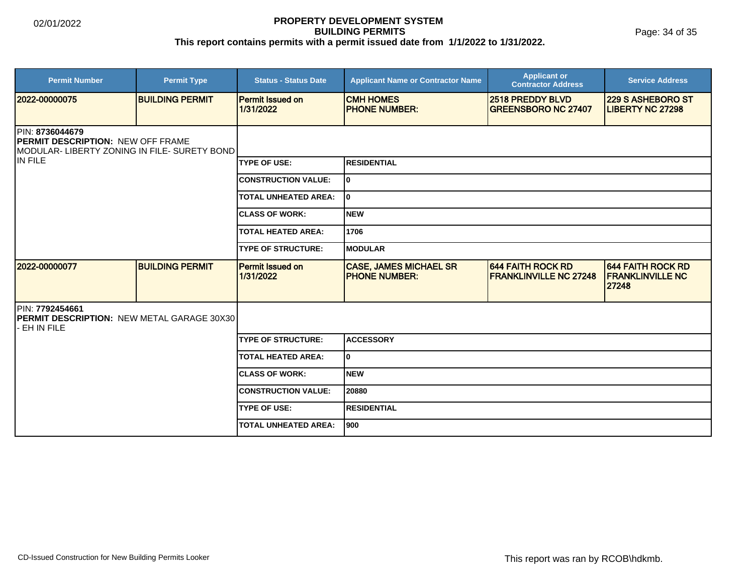| <b>Permit Number</b>                                                                                        | <b>Permit Type</b>     | <b>Status - Status Date</b>          | <b>Applicant Name or Contractor Name</b>              | <b>Applicant or</b><br><b>Contractor Address</b>          | <b>Service Address</b>                                       |  |
|-------------------------------------------------------------------------------------------------------------|------------------------|--------------------------------------|-------------------------------------------------------|-----------------------------------------------------------|--------------------------------------------------------------|--|
| 12022-00000075                                                                                              | <b>BUILDING PERMIT</b> | <b>Permit Issued on</b><br>1/31/2022 | <b>CMH HOMES</b><br><b>PHONE NUMBER:</b>              | 2518 PREDDY BLVD<br><b>GREENSBORO NC 27407</b>            | <b>229 S ASHEBORO ST</b><br><b>LIBERTY NC 27298</b>          |  |
| PIN: 8736044679<br><b>PERMIT DESCRIPTION: NEW OFF FRAME</b><br>MODULAR- LIBERTY ZONING IN FILE- SURETY BOND |                        |                                      |                                                       |                                                           |                                                              |  |
| IN FILE                                                                                                     |                        | <b>TYPE OF USE:</b>                  | <b>RESIDENTIAL</b>                                    |                                                           |                                                              |  |
|                                                                                                             |                        | <b>CONSTRUCTION VALUE:</b>           | lo.                                                   |                                                           |                                                              |  |
|                                                                                                             |                        | <b>TOTAL UNHEATED AREA:</b>          | 0                                                     |                                                           |                                                              |  |
|                                                                                                             |                        | <b>ICLASS OF WORK:</b>               | <b>NEW</b>                                            |                                                           |                                                              |  |
|                                                                                                             |                        | <b>TOTAL HEATED AREA:</b>            | 1706                                                  |                                                           |                                                              |  |
|                                                                                                             |                        | <b>TYPE OF STRUCTURE:</b>            | <b>MODULAR</b>                                        |                                                           |                                                              |  |
| 2022-00000077                                                                                               | <b>BUILDING PERMIT</b> | Permit Issued on<br>1/31/2022        | <b>CASE, JAMES MICHAEL SR</b><br><b>PHONE NUMBER:</b> | <b>644 FAITH ROCK RD</b><br><b>FRANKLINVILLE NC 27248</b> | <b>644 FAITH ROCK RD</b><br><b>FRANKLINVILLE NC</b><br>27248 |  |
| PIN: 7792454661<br><b>IPERMIT DESCRIPTION: NEW METAL GARAGE 30X301</b><br>EH IN FILE                        |                        |                                      |                                                       |                                                           |                                                              |  |
|                                                                                                             |                        | <b>TYPE OF STRUCTURE:</b>            | <b>ACCESSORY</b>                                      |                                                           |                                                              |  |
|                                                                                                             |                        | <b>TOTAL HEATED AREA:</b>            | 0                                                     |                                                           |                                                              |  |
|                                                                                                             |                        | <b>CLASS OF WORK:</b>                | <b>NEW</b>                                            |                                                           |                                                              |  |
|                                                                                                             |                        | <b>CONSTRUCTION VALUE:</b>           | 20880                                                 |                                                           |                                                              |  |
|                                                                                                             |                        | <b>TYPE OF USE:</b>                  | <b>RESIDENTIAL</b>                                    |                                                           |                                                              |  |
|                                                                                                             |                        | <b>TOTAL UNHEATED AREA:</b>          | 900                                                   |                                                           |                                                              |  |